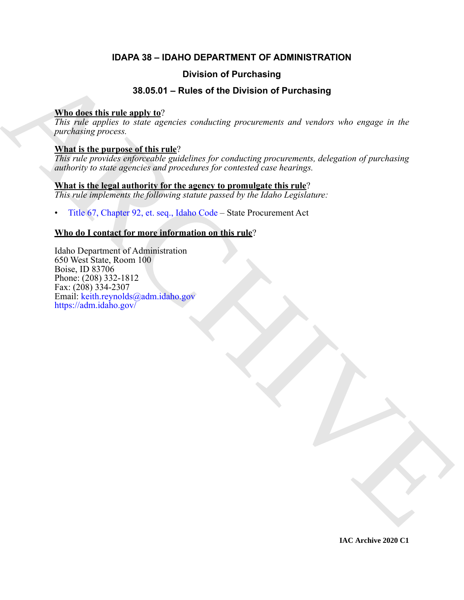# **IDAPA 38 – IDAHO DEPARTMENT OF ADMINISTRATION**

# **Division of Purchasing**

# **38.05.01 – Rules of the Division of Purchasing**

# **Who does this rule apply to**?

*This rule applies to state agencies conducting procurements and vendors who engage in the purchasing process.*

# **What is the purpose of this rule**?

*This rule provides enforceable guidelines for conducting procurements, delegation of purchasing authority to state agencies and procedures for contested case hearings.*

# **What is the legal authority for the agency to promulgate this rule**?

*This rule implements the following statute passed by the Idaho Legislature:*

• Title 67, Chapter 92, et. seq., Idaho Code – State Procurement Act

# **Who do I contact for more information on this rule**?

**EXAMPLE 1988**<br> **EXAMPLE 2008**<br> **EXAMPLE 2008**<br> **EXAMPLE 2008**<br> **EXAMPLE 2014**<br> **EXAMPLE 2014**<br> **EXAMPLE 2014**<br> **CONDITIES:**  $\frac{1}{2}$  **CONDITIES:**  $\frac{1}{2}$  **CONDITIES:**  $\frac{1}{2}$  **CONDITIES:**  $\frac{1}{2}$  **CONDITIES:**  $\frac{$ Idaho Department of Administration 650 West State, Room 100 Boise, ID 83706 Phone: (208) 332-1812 Fax: (208) 334-2307 Email: keith.reynolds@adm.idaho.gov https://adm.idaho.gov/

**IAC Archive 2020 C1**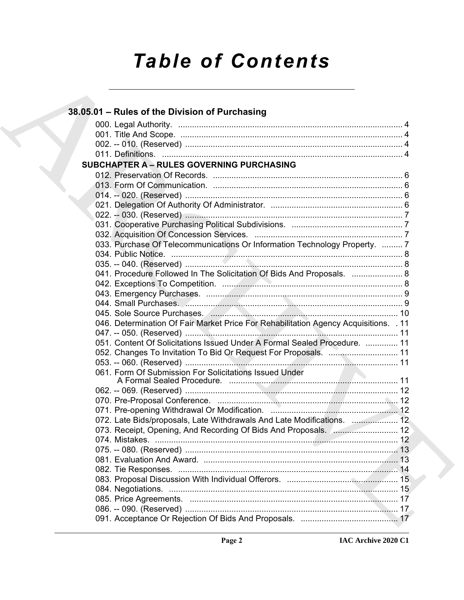# *Table of Contents*

| 38.05.01 - Rules of the Division of Purchasing                                       |  |
|--------------------------------------------------------------------------------------|--|
|                                                                                      |  |
|                                                                                      |  |
|                                                                                      |  |
|                                                                                      |  |
| <b>SUBCHAPTER A - RULES GOVERNING PURCHASING</b>                                     |  |
|                                                                                      |  |
|                                                                                      |  |
|                                                                                      |  |
|                                                                                      |  |
|                                                                                      |  |
|                                                                                      |  |
|                                                                                      |  |
| 033. Purchase Of Telecommunications Or Information Technology Property.  7           |  |
|                                                                                      |  |
|                                                                                      |  |
| 041. Procedure Followed In The Solicitation Of Bids And Proposals.  8                |  |
|                                                                                      |  |
|                                                                                      |  |
|                                                                                      |  |
|                                                                                      |  |
| 046. Determination Of Fair Market Price For Rehabilitation Agency Acquisitions. . 11 |  |
|                                                                                      |  |
| 051. Content Of Solicitations Issued Under A Formal Sealed Procedure.  11            |  |
|                                                                                      |  |
| 052. Changes To Invitation To Bid Or Request For Proposals.  11                      |  |
| 061. Form Of Submission For Solicitations Issued Under                               |  |
|                                                                                      |  |
|                                                                                      |  |
|                                                                                      |  |
|                                                                                      |  |
|                                                                                      |  |
| 072. Late Bids/proposals, Late Withdrawals And Late Modifications.  12               |  |
|                                                                                      |  |
|                                                                                      |  |
|                                                                                      |  |
|                                                                                      |  |
|                                                                                      |  |
|                                                                                      |  |
|                                                                                      |  |
|                                                                                      |  |
|                                                                                      |  |
|                                                                                      |  |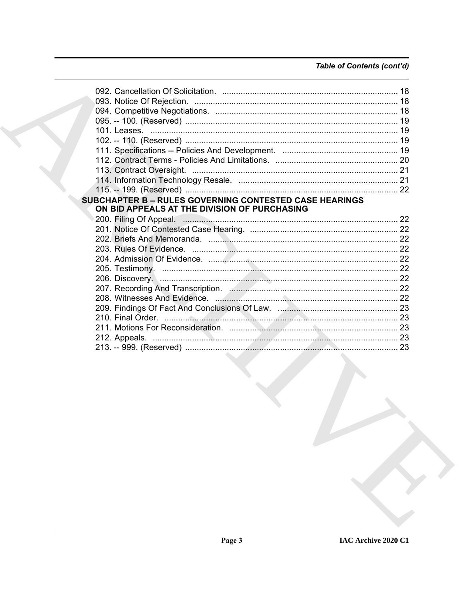# Table of Contents (cont'd)

| <b>SUBCHAPTER B - RULES GOVERNING CONTESTED CASE HEARINGS</b><br>ON BID APPEALS AT THE DIVISION OF PURCHASING                                      |  |
|----------------------------------------------------------------------------------------------------------------------------------------------------|--|
|                                                                                                                                                    |  |
|                                                                                                                                                    |  |
|                                                                                                                                                    |  |
|                                                                                                                                                    |  |
|                                                                                                                                                    |  |
|                                                                                                                                                    |  |
|                                                                                                                                                    |  |
|                                                                                                                                                    |  |
|                                                                                                                                                    |  |
|                                                                                                                                                    |  |
|                                                                                                                                                    |  |
|                                                                                                                                                    |  |
|                                                                                                                                                    |  |
|                                                                                                                                                    |  |
| the contract of the contract of the contract of the contract of the contract of<br>the contract of the contract of the contract of the contract of |  |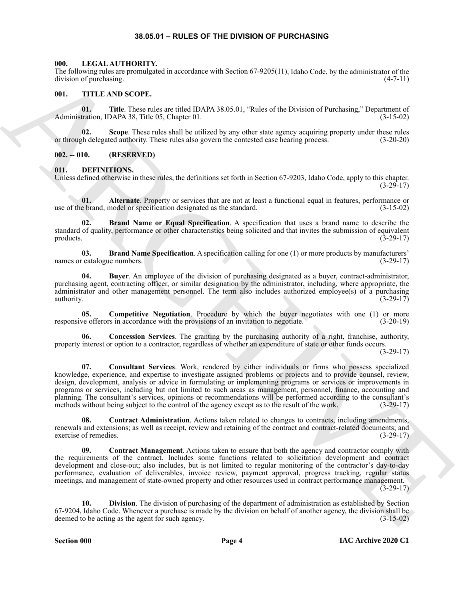#### **38.05.01 – RULES OF THE DIVISION OF PURCHASING**

#### <span id="page-3-16"></span><span id="page-3-1"></span><span id="page-3-0"></span>**000. LEGAL AUTHORITY.**

The following rules are promulgated in accordance with Section 67-9205(11), Idaho Code, by the administrator of the division of purchasing. (4-7-11)

#### <span id="page-3-17"></span><span id="page-3-2"></span>**001. TITLE AND SCOPE.**

**01. Title**. These rules are titled IDAPA 38.05.01, "Rules of the Division of Purchasing," Department of Administration, IDAPA 38, Title 05, Chapter 01. (3-15-02)

**02. Scope**. These rules shall be utilized by any other state agency acquiring property under these rules or through delegated authority. These rules also govern the contested case hearing process. (3-20-20)

#### <span id="page-3-3"></span>**002. -- 010. (RESERVED)**

#### <span id="page-3-5"></span><span id="page-3-4"></span>**011. DEFINITIONS.**

Unless defined otherwise in these rules, the definitions set forth in Section 67-9203, Idaho Code, apply to this chapter. (3-29-17)

<span id="page-3-6"></span>**01. Alternate**. Property or services that are not at least a functional equal in features, performance or e brand, model or specification designated as the standard. (3-15-02) use of the brand, model or specification designated as the standard.

<span id="page-3-7"></span>**Brand Name or Equal Specification**. A specification that uses a brand name to describe the standard of quality, performance or other characteristics being solicited and that invites the submission of equivalent products.  $(3-29-17)$ 

<span id="page-3-8"></span>**03. Brand Name Specification**. A specification calling for one (1) or more products by manufacturers' names or catalogue numbers. (3-29-17)

<span id="page-3-9"></span>**04. Buyer**. An employee of the division of purchasing designated as a buyer, contract-administrator, purchasing agent, contracting officer, or similar designation by the administrator, including, where appropriate, the administrator and other management personnel. The term also includes authorized employee(s) of a purchasing authority.  $(3-29-17)$ authority.  $(3-29-17)$ 

<span id="page-3-10"></span>**05. Competitive Negotiation**. Procedure by which the buyer negotiates with one (1) or more responsive offerors in accordance with the provisions of an invitation to negotiate. (3-20-19)

<span id="page-3-12"></span><span id="page-3-11"></span>**06. Concession Services**. The granting by the purchasing authority of a right, franchise, authority, property interest or option to a contractor, regardless of whether an expenditure of state or other funds occurs.

 $(3-29-17)$ 

The following relevant generalization is accordance with Societies (2-920511), looking Cock, by the relationship of the following relationship of the main control of the state of the state of the state of the state of the **07. Consultant Services**. Work, rendered by either individuals or firms who possess specialized knowledge, experience, and expertise to investigate assigned problems or projects and to provide counsel, review, design, development, analysis or advice in formulating or implementing programs or services or improvements in programs or services, including but not limited to such areas as management, personnel, finance, accounting and planning. The consultant's services, opinions or recommendations will be performed according to the consultant's methods without being subject to the control of the agency except as to the result of the work. (3-29-17)

<span id="page-3-13"></span>**08. Contract Administration**. Actions taken related to changes to contracts, including amendments, renewals and extensions; as well as receipt, review and retaining of the contract and contract-related documents; and exercise of remedies. (3-29-17) exercise of remedies.

<span id="page-3-14"></span>**09. Contract Management**. Actions taken to ensure that both the agency and contractor comply with the requirements of the contract. Includes some functions related to solicitation development and contract development and close-out; also includes, but is not limited to regular monitoring of the contractor's day-to-day performance, evaluation of deliverables, invoice review, payment approval, progress tracking, regular status meetings, and management of state-owned property and other resources used in contract performance management. (3-29-17)

<span id="page-3-15"></span>**10. Division**. The division of purchasing of the department of administration as established by Section 67-9204, Idaho Code. Whenever a purchase is made by the division on behalf of another agency, the division shall be deemed to be acting as the agent for such agency. (3-15-02)

**Section 000 Page 4**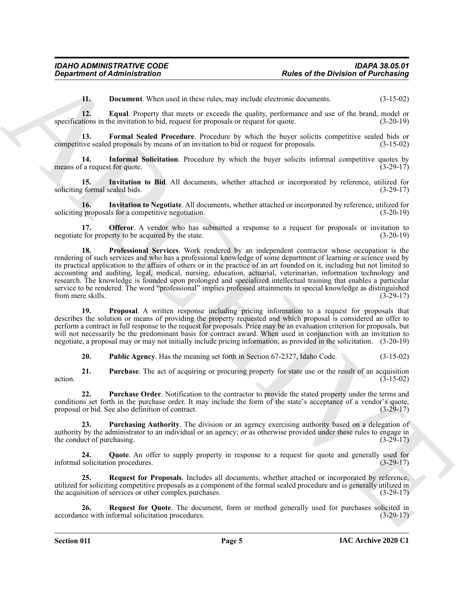<span id="page-4-2"></span><span id="page-4-1"></span><span id="page-4-0"></span>**11. Document**. When used in these rules, may include electronic documents.  $(3-15-02)$ 

**12. Equal**. Property that meets or exceeds the quality, performance and use of the brand, model or specifications in the invitation to bid, request for proposals or request for quote.  $(3-20-19)$ 

13. Formal Sealed Procedure. Procedure by which the buyer solicits competitive sealed bids or competitive sealed proposals by means of an invitation to bid or request for proposals. (3-15-02)

<span id="page-4-3"></span>**14. Informal Solicitation**. Procedure by which the buyer solicits informal competitive quotes by means of a request for quote. (3-29-17)

<span id="page-4-4"></span>**15. Invitation to Bid**. All documents, whether attached or incorporated by reference, utilized for soliciting formal sealed bids. (3-29-17)

<span id="page-4-5"></span>**16.** Invitation to Negotiate. All documents, whether attached or incorporated by reference, utilized for a competitive negotiation. (3-20-19) soliciting proposals for a competitive negotiation.

<span id="page-4-7"></span><span id="page-4-6"></span>**17. Offeror**. A vendor who has submitted a response to a request for proposals or invitation to negotiate for property to be acquired by the state. (3-20-19)

**Experiment of Administration**<br> **Experiment When order and have rate, any include content when the Division of Purchasing<br>
12. Legend Proventy dout need to merely the quadra performance of the content of Fig. 1930<br>
precis 18. Professional Services**. Work rendered by an independent contractor whose occupation is the rendering of such services and who has a professional knowledge of some department of learning or science used by its practical application to the affairs of others or in the practice of an art founded on it, including but not limited to accounting and auditing, legal, medical, nursing, education, actuarial, veterinarian, information technology and research. The knowledge is founded upon prolonged and specialized intellectual training that enables a particular service to be rendered. The word "professional" implies professed attainments in special knowledge as distinguished from mere skills. (3-29-17)

<span id="page-4-8"></span>**19. Proposal**. A written response including pricing information to a request for proposals that describes the solution or means of providing the property requested and which proposal is considered an offer to perform a contract in full response to the request for proposals. Price may be an evaluation criterion for proposals, but will not necessarily be the predominant basis for contract award. When used in conjunction with an invitation to negotiate, a proposal may or may not initially include pricing information, as provided in the solicitation. (3-20-19)

<span id="page-4-15"></span><span id="page-4-10"></span><span id="page-4-9"></span>**20. Public Agency**. Has the meaning set forth in Section 67-2327, Idaho Code. (3-15-02)

**21. Purchase**. The act of acquiring or procuring property for state use or the result of an acquisition action.  $(3-15-02)$ 

**22. Purchase Order**. Notification to the contractor to provide the stated property under the terms and conditions set forth in the purchase order. It may include the form of the state's acceptance of a vendor's quote, proposal or bid. See also definition of contract. (3-29-17)

<span id="page-4-11"></span>**23. Purchasing Authority**. The division or an agency exercising authority based on a delegation of authority by the administrator to an individual or an agency; or as otherwise provided under these rules to engage in the conduct of purchasing. (3-29-17)

<span id="page-4-12"></span>**24.** Quote. An offer to supply property in response to a request for quote and generally used for solicitation procedures. (3-29-17) informal solicitation procedures.

<span id="page-4-13"></span>**25. Request for Proposals**. Includes all documents, whether attached or incorporated by reference, utilized for soliciting competitive proposals as a component of the formal sealed procedure and is generally utilized in the acquisition of services or other complex purchases. (3-29-17)

<span id="page-4-14"></span>**26. Request for Quote**. The document, form or method generally used for purchases solicited in accordance with informal solicitation procedures. (3-29-17)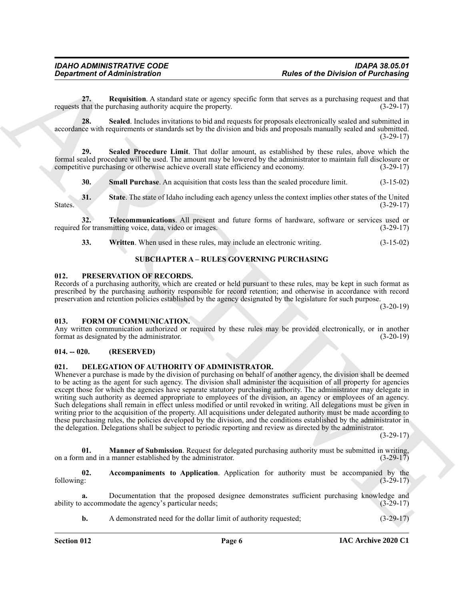<span id="page-5-5"></span>**27. Requisition**. A standard state or agency specific form that serves as a purchasing request and that requests that the purchasing authority acquire the property. (3-29-17)

<span id="page-5-6"></span>**28. Sealed**. Includes invitations to bid and requests for proposals electronically sealed and submitted in accordance with requirements or standards set by the division and bids and proposals manually sealed and submitted.  $(3-29-17)$ 

**29. Sealed Procedure Limit**. That dollar amount, as established by these rules, above which the formal sealed procedure will be used. The amount may be lowered by the administrator to maintain full disclosure or competitive purchasing or otherwise achieve overall state efficiency and economy. (3-29-17)

<span id="page-5-9"></span><span id="page-5-8"></span><span id="page-5-7"></span>**30. Small Purchase**. An acquisition that costs less than the sealed procedure limit. (3-15-02)

**31. State**. The state of Idaho including each agency unless the context implies other states of the United States.  $(3-29-17)$ 

**32. Telecommunications**. All present and future forms of hardware, software or services used or required for transmitting voice, data, video or images. (3-29-17)

<span id="page-5-16"></span><span id="page-5-11"></span><span id="page-5-10"></span>**33.** Written. When used in these rules, may include an electronic writing.  $(3-15-02)$ 

#### <span id="page-5-17"></span>**SUBCHAPTER A – RULES GOVERNING PURCHASING**

#### <span id="page-5-1"></span><span id="page-5-0"></span>**012. PRESERVATION OF RECORDS.**

Records of a purchasing authority, which are created or held pursuant to these rules, may be kept in such format as prescribed by the purchasing authority responsible for record retention; and otherwise in accordance with record preservation and retention policies established by the agency designated by the legislature for such purpose.

(3-20-19)

#### <span id="page-5-15"></span><span id="page-5-2"></span>**013. FORM OF COMMUNICATION.**

Any written communication authorized or required by these rules may be provided electronically, or in another format as designated by the administrator. (3-20-19) format as designated by the administrator.

#### <span id="page-5-3"></span>**014. -- 020. (RESERVED)**

#### <span id="page-5-12"></span><span id="page-5-4"></span>**021. DELEGATION OF AUTHORITY OF ADMINISTRATOR.**

**Experiment of Administration**<br>
21. **Register of the Division of Parchisis** of the Constant of Parchisis of the Division of Parchisis of the Constant of Parchisis of the Constant of Parchisis of the Constant of Parchisis Whenever a purchase is made by the division of purchasing on behalf of another agency, the division shall be deemed to be acting as the agent for such agency. The division shall administer the acquisition of all property for agencies except those for which the agencies have separate statutory purchasing authority. The administrator may delegate in writing such authority as deemed appropriate to employees of the division, an agency or employees of an agency. Such delegations shall remain in effect unless modified or until revoked in writing. All delegations must be given in writing prior to the acquisition of the property. All acquisitions under delegated authority must be made according to these purchasing rules, the policies developed by the division, and the conditions established by the administrator in the delegation. Delegations shall be subject to periodic reporting and review as directed by the administrator.

(3-29-17)

<span id="page-5-14"></span>**01. Manner of Submission**. Request for delegated purchasing authority must be submitted in writing, and in a manner established by the administrator. (3-29-17) on a form and in a manner established by the administrator.

<span id="page-5-13"></span>**02.** Accompaniments to Application. Application for authority must be accompanied by the following: (3-29-17) following: (3-29-17)

**a.** Documentation that the proposed designee demonstrates sufficient purchasing knowledge and ability to accommodate the agency's particular needs; (3-29-17)

**b.** A demonstrated need for the dollar limit of authority requested;  $(3-29-17)$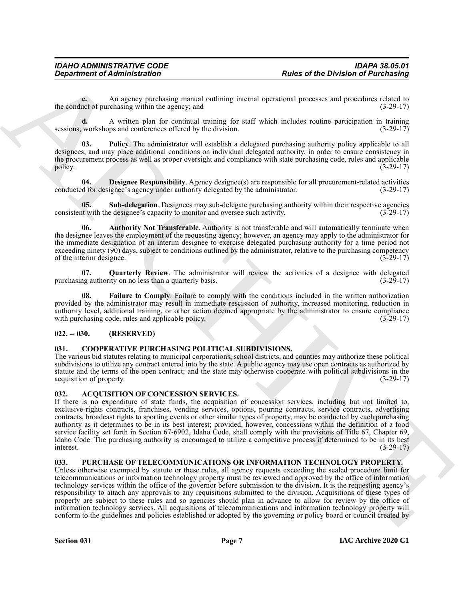**c.** An agency purchasing manual outlining internal operational processes and procedures related to the conduct of purchasing within the agency; and  $(3-29-17)$ 

**d.** A written plan for continual training for staff which includes routine participation in training sessions, workshops and conferences offered by the division. (3-29-17)

<span id="page-6-9"></span>**03. Policy**. The administrator will establish a delegated purchasing authority policy applicable to all designees; and may place additional conditions on individual delegated authority, in order to ensure consistency in the procurement process as well as proper oversight and compliance with state purchasing code, rules and applicable policy.  $(3-29-17)$ 

<span id="page-6-7"></span>**04. Designee Responsibility**. Agency designee(s) are responsible for all procurement-related activities conducted for designee's agency under authority delegated by the administrator. (3-29-17)

<span id="page-6-11"></span>**05.** Sub-delegation. Designees may sub-delegate purchasing authority within their respective agencies it with the designee's capacity to monitor and oversee such activity. (3-29-17) consistent with the designee's capacity to monitor and oversee such activity.

<span id="page-6-6"></span>**06. Authority Not Transferable**. Authority is not transferable and will automatically terminate when the designee leaves the employment of the requesting agency; however, an agency may apply to the administrator for the immediate designation of an interim designee to exercise delegated purchasing authority for a time period not exceeding ninety (90) days, subject to conditions outlined by the administrator, relative to the purchasing competency of the interim designee.  $(3-29-17)$ of the interim designee.

<span id="page-6-10"></span>**07.** Quarterly Review. The administrator will review the activities of a designee with delegated ng authority on no less than a quarterly basis. purchasing authority on no less than a quarterly basis.

<span id="page-6-8"></span>**Failure to Comply.** Failure to comply with the conditions included in the written authorization provided by the administrator may result in immediate rescission of authority, increased monitoring, reduction in authority level, additional training, or other action deemed appropriate by the administrator to ensure compliance with purchasing code, rules and applicable policy. (3-29-17)

#### <span id="page-6-0"></span>**022. -- 030. (RESERVED)**

#### <span id="page-6-5"></span><span id="page-6-1"></span>**031. COOPERATIVE PURCHASING POLITICAL SUBDIVISIONS.**

The various bid statutes relating to municipal corporations, school districts, and counties may authorize these political subdivisions to utilize any contract entered into by the state. A public agency may use open contracts as authorized by statute and the terms of the open contract; and the state may otherwise cooperate with political subdivisions in the acquisition of property. (3-29-17)

#### <span id="page-6-4"></span><span id="page-6-2"></span>**032. ACQUISITION OF CONCESSION SERVICES.**

If there is no expenditure of state funds, the acquisition of concession services, including but not limited to, exclusive-rights contracts, franchises, vending services, options, pouring contracts, service contracts, advertising contracts, broadcast rights to sporting events or other similar types of property, may be conducted by each purchasing authority as it determines to be in its best interest; provided, however, concessions within the definition of a food service facility set forth in Section 67-6902, Idaho Code, shall comply with the provisions of Title 67, Chapter 69, Idaho Code. The purchasing authority is encouraged to utilize a competitive process if determined to be in its best interest. (3-29-17)

#### <span id="page-6-12"></span><span id="page-6-3"></span>**033. PURCHASE OF TELECOMMUNICATIONS OR INFORMATION TECHNOLOGY PROPERTY.**

**Experiment of Administration**<br> **Experiment of Administration**<br>
An agency purchasing manual evaluation is increased to the activity of the China of Patchia and<br>
the same of patchia and the same of continue and the same of Unless otherwise exempted by statute or these rules, all agency requests exceeding the sealed procedure limit for telecommunications or information technology property must be reviewed and approved by the office of information technology services within the office of the governor before submission to the division. It is the requesting agency's responsibility to attach any approvals to any requisitions submitted to the division. Acquisitions of these types of property are subject to these rules and so agencies should plan in advance to allow for review by the office of information technology services. All acquisitions of telecommunications and information technology property will conform to the guidelines and policies established or adopted by the governing or policy board or council created by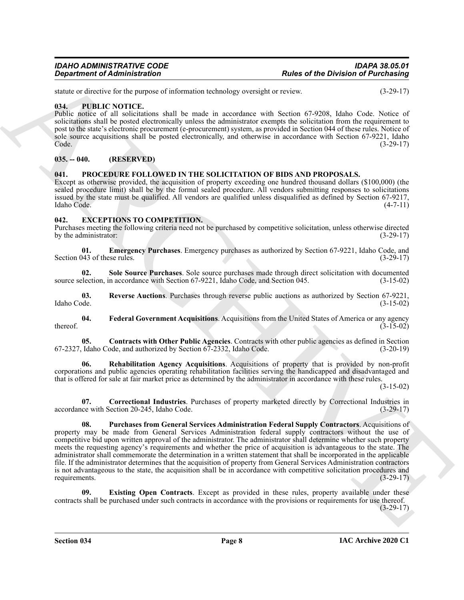statute or directive for the purpose of information technology oversight or review. (3-29-17)

### <span id="page-7-15"></span><span id="page-7-0"></span>**034. PUBLIC NOTICE.**

Public notice of all solicitations shall be made in accordance with Section 67-9208, Idaho Code. Notice of solicitations shall be posted electronically unless the administrator exempts the solicitation from the requirement to post to the state's electronic procurement (e-procurement) system, as provided in Section 044 of these rules. Notice of sole source acquisitions shall be posted electronically, and otherwise in accordance with Section 67-9221, Idaho Code. (3-29-17)

# <span id="page-7-1"></span>**035. -- 040. (RESERVED)**

### <span id="page-7-14"></span><span id="page-7-2"></span>**041. PROCEDURE FOLLOWED IN THE SOLICITATION OF BIDS AND PROPOSALS.**

Except as otherwise provided, the acquisition of property exceeding one hundred thousand dollars (\$100,000) (the sealed procedure limit) shall be by the formal sealed procedure. All vendors submitting responses to solicitations issued by the state must be qualified. All vendors are qualified unless disqualified as defined by Section 67-9217, Idaho Code. (4-7-11)

#### <span id="page-7-4"></span><span id="page-7-3"></span>**042. EXCEPTIONS TO COMPETITION.**

Purchases meeting the following criteria need not be purchased by competitive solicitation, unless otherwise directed by the administrator:  $(3-29-17)$ 

<span id="page-7-7"></span>**01. Emergency Purchases**. Emergency purchases as authorized by Section 67-9221, Idaho Code, and Section 043 of these rules.

<span id="page-7-13"></span>**02.** Sole Source Purchases. Sole source purchases made through direct solicitation with documented election, in accordance with Section 67-9221, Idaho Code, and Section 045. (3-15-02) source selection, in accordance with Section 67-9221, Idaho Code, and Section 045.

<span id="page-7-12"></span>**03. Reverse Auctions**. Purchases through reverse public auctions as authorized by Section 67-9221, Idaho Code. (3-15-02)

<span id="page-7-9"></span>**04. Federal Government Acquisitions**. Acquisitions from the United States of America or any agency thereof.  $(3-15-02)$ 

<span id="page-7-5"></span>**05. Contracts with Other Public Agencies**. Contracts with other public agencies as defined in Section Idaho Code, and authorized by Section 67-2332, Idaho Code. (3-20-19) 67-2327, Idaho Code, and authorized by Section 67-2332, Idaho Code.

<span id="page-7-11"></span>**06. Rehabilitation Agency Acquisitions**. Acquisitions of property that is provided by non-profit corporations and public agencies operating rehabilitation facilities serving the handicapped and disadvantaged and that is offered for sale at fair market price as determined by the administrator in accordance with these rules.

(3-15-02)

<span id="page-7-10"></span><span id="page-7-6"></span>**07. Correctional Industries**. Purchases of property marketed directly by Correctional Industries in accordance with Section 20-245, Idaho Code. (3-29-17)

**Equivariant of Administration**<br> **Alter of the Division of Burelesian (Equivariant velocity overallel weight)** and the process.<br>
The Cole Figure of the proposediction interaction collections with Section 6.2.25 (about Col **08. Purchases from General Services Administration Federal Supply Contractors**. Acquisitions of property may be made from General Services Administration federal supply contractors without the use of competitive bid upon written approval of the administrator. The administrator shall determine whether such property meets the requesting agency's requirements and whether the price of acquisition is advantageous to the state. The administrator shall commemorate the determination in a written statement that shall be incorporated in the applicable file. If the administrator determines that the acquisition of property from General Services Administration contractors is not advantageous to the state, the acquisition shall be in accordance with competitive solicitation procedures and requirements. (3-29-17)

<span id="page-7-8"></span>**09. Existing Open Contracts**. Except as provided in these rules, property available under these contracts shall be purchased under such contracts in accordance with the provisions or requirements for use thereof. (3-29-17)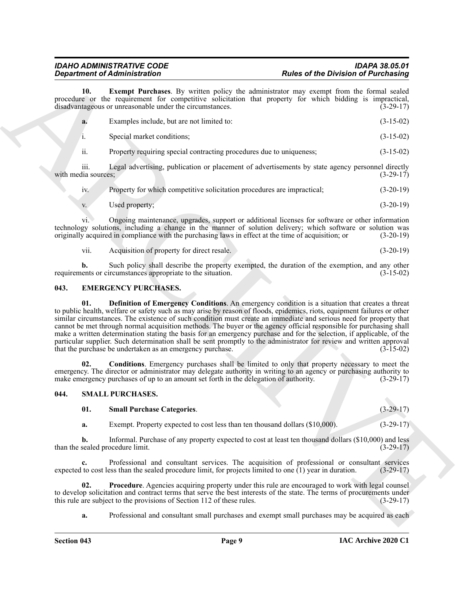<span id="page-8-5"></span>

| <b>Department of Administration</b> |                                                                                                                                                    | <b>Rules of the Division of Purchasing</b>                                                                                                                                                                                                                                                                                                                                                                                                                                                                                                                                                                                                                                                                                                                                                                                                                                                                                                     |                            |
|-------------------------------------|----------------------------------------------------------------------------------------------------------------------------------------------------|------------------------------------------------------------------------------------------------------------------------------------------------------------------------------------------------------------------------------------------------------------------------------------------------------------------------------------------------------------------------------------------------------------------------------------------------------------------------------------------------------------------------------------------------------------------------------------------------------------------------------------------------------------------------------------------------------------------------------------------------------------------------------------------------------------------------------------------------------------------------------------------------------------------------------------------------|----------------------------|
| 10.                                 | disadvantageous or unreasonable under the circumstances.                                                                                           | <b>Exempt Purchases</b> . By written policy the administrator may exempt from the formal sealed<br>procedure or the requirement for competitive solicitation that property for which bidding is impractical,                                                                                                                                                                                                                                                                                                                                                                                                                                                                                                                                                                                                                                                                                                                                   | $(3-29-17)$                |
| a.                                  | Examples include, but are not limited to:                                                                                                          |                                                                                                                                                                                                                                                                                                                                                                                                                                                                                                                                                                                                                                                                                                                                                                                                                                                                                                                                                | $(3-15-02)$                |
| i.                                  | Special market conditions;                                                                                                                         |                                                                                                                                                                                                                                                                                                                                                                                                                                                                                                                                                                                                                                                                                                                                                                                                                                                                                                                                                | $(3-15-02)$                |
| ii.                                 | Property requiring special contracting procedures due to uniqueness;                                                                               |                                                                                                                                                                                                                                                                                                                                                                                                                                                                                                                                                                                                                                                                                                                                                                                                                                                                                                                                                | $(3-15-02)$                |
| iii.<br>with media sources;         |                                                                                                                                                    | Legal advertising, publication or placement of advertisements by state agency personnel directly                                                                                                                                                                                                                                                                                                                                                                                                                                                                                                                                                                                                                                                                                                                                                                                                                                               | $(3-29-17)$                |
| iv.                                 | Property for which competitive solicitation procedures are impractical;                                                                            |                                                                                                                                                                                                                                                                                                                                                                                                                                                                                                                                                                                                                                                                                                                                                                                                                                                                                                                                                | $(3-20-19)$                |
| V.                                  | Used property;                                                                                                                                     |                                                                                                                                                                                                                                                                                                                                                                                                                                                                                                                                                                                                                                                                                                                                                                                                                                                                                                                                                | $(3-20-19)$                |
| V1.                                 | originally acquired in compliance with the purchasing laws in effect at the time of acquisition; or                                                | Ongoing maintenance, upgrades, support or additional licenses for software or other information<br>technology solutions, including a change in the manner of solution delivery; which software or solution was                                                                                                                                                                                                                                                                                                                                                                                                                                                                                                                                                                                                                                                                                                                                 | $(3-20-19)$                |
| vii.                                | Acquisition of property for direct resale.                                                                                                         |                                                                                                                                                                                                                                                                                                                                                                                                                                                                                                                                                                                                                                                                                                                                                                                                                                                                                                                                                | $(3-20-19)$                |
| b.                                  | requirements or circumstances appropriate to the situation.                                                                                        | Such policy shall describe the property exempted, the duration of the exemption, and any other                                                                                                                                                                                                                                                                                                                                                                                                                                                                                                                                                                                                                                                                                                                                                                                                                                                 | $(3-15-02)$                |
| 043.                                | <b>EMERGENCY PURCHASES.</b>                                                                                                                        |                                                                                                                                                                                                                                                                                                                                                                                                                                                                                                                                                                                                                                                                                                                                                                                                                                                                                                                                                |                            |
| 01.<br>02.                          | that the purchase be undertaken as an emergency purchase.<br>make emergency purchases of up to an amount set forth in the delegation of authority. | Definition of Emergency Conditions. An emergency condition is a situation that creates a threat<br>to public health, welfare or safety such as may arise by reason of floods, epidemics, riots, equipment failures or other<br>similar circumstances. The existence of such condition must create an immediate and serious need for property that<br>cannot be met through normal acquisition methods. The buyer or the agency official responsible for purchasing shall<br>make a written determination stating the basis for an emergency purchase and for the selection, if applicable, of the<br>particular supplier. Such determination shall be sent promptly to the administrator for review and written approval<br>Conditions. Emergency purchases shall be limited to only that property necessary to meet the<br>emergency. The director or administrator may delegate authority in writing to an agency or purchasing authority to | $(3-15-02)$<br>$(3-29-17)$ |
|                                     |                                                                                                                                                    |                                                                                                                                                                                                                                                                                                                                                                                                                                                                                                                                                                                                                                                                                                                                                                                                                                                                                                                                                |                            |
| 044.                                | <b>SMALL PURCHASES.</b>                                                                                                                            |                                                                                                                                                                                                                                                                                                                                                                                                                                                                                                                                                                                                                                                                                                                                                                                                                                                                                                                                                |                            |
| 01.                                 | <b>Small Purchase Categories.</b>                                                                                                                  |                                                                                                                                                                                                                                                                                                                                                                                                                                                                                                                                                                                                                                                                                                                                                                                                                                                                                                                                                | $(3-29-17)$                |
| a.                                  | Exempt. Property expected to cost less than ten thousand dollars (\$10,000).                                                                       |                                                                                                                                                                                                                                                                                                                                                                                                                                                                                                                                                                                                                                                                                                                                                                                                                                                                                                                                                | $(3-29-17)$                |
| $\mathbf{b}$ .                      | than the sealed procedure limit.                                                                                                                   | Informal. Purchase of any property expected to cost at least ten thousand dollars (\$10,000) and less                                                                                                                                                                                                                                                                                                                                                                                                                                                                                                                                                                                                                                                                                                                                                                                                                                          | $(3-29-17)$                |
| $c_{\cdot}$                         |                                                                                                                                                    | Professional and consultant services. The acquisition of professional or consultant services<br>expected to cost less than the sealed procedure limit, for projects limited to one $(1)$ year in duration.                                                                                                                                                                                                                                                                                                                                                                                                                                                                                                                                                                                                                                                                                                                                     | $(3-29-17)$                |
| 02.                                 |                                                                                                                                                    | Procedure. Agencies acquiring property under this rule are encouraged to work with legal counsel<br>to develop solicitation and contract terms that serve the best interests of the state. The terms of procurements under                                                                                                                                                                                                                                                                                                                                                                                                                                                                                                                                                                                                                                                                                                                     |                            |
|                                     | this rule are subject to the provisions of Section 112 of these rules.                                                                             |                                                                                                                                                                                                                                                                                                                                                                                                                                                                                                                                                                                                                                                                                                                                                                                                                                                                                                                                                | $(3-29-17)$                |

| iv.         | Property for which competitive solicitation procedures are impractical; | $(3-20-19)$ |
|-------------|-------------------------------------------------------------------------|-------------|
| $V_{\star}$ | Used property;                                                          | $(3-20-19)$ |

<span id="page-8-4"></span>vii. Acquisition of property for direct resale. (3-20-19)

#### <span id="page-8-2"></span><span id="page-8-0"></span>**043. EMERGENCY PURCHASES.**

#### <span id="page-8-1"></span>**044. SMALL PURCHASES.**

#### <span id="page-8-8"></span><span id="page-8-7"></span><span id="page-8-6"></span><span id="page-8-3"></span>**01. Small Purchase Categories**. (3-29-17)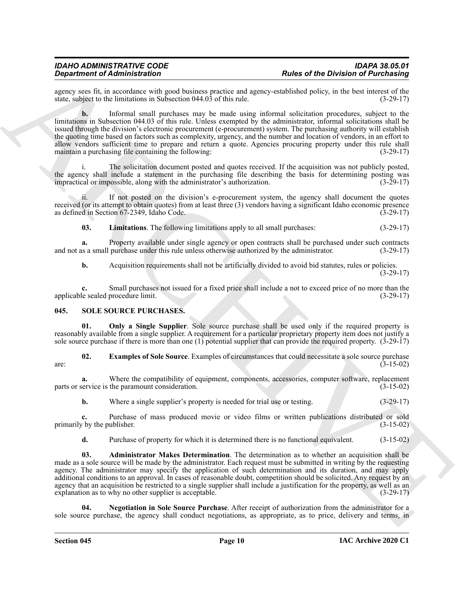agency sees fit, in accordance with good business practice and agency-established policy, in the best interest of the state, subject to the limitations in Subsection 044.03 of this rule. (3-29-17) state, subject to the limitations in Subsection 044.03 of this rule.

**Experiment of Administration** (a)  $\mu$  **Experimental control in the substitute of the Division of Purchasing the Control in the Substitute of the Division of Purchasing the Substitute of the Division of the Substitute of b.** Informal small purchases may be made using informal solicitation procedures, subject to the limitations in Subsection 044.03 of this rule. Unless exempted by the administrator, informal solicitations shall be issued through the division's electronic procurement (e-procurement) system. The purchasing authority will establish the quoting time based on factors such as complexity, urgency, and the number and location of vendors, in an effort to allow vendors sufficient time to prepare and return a quote. Agencies procuring property under this rule shall maintain a purchasing file containing the following: (3-29-17)

The solicitation document posted and quotes received. If the acquisition was not publicly posted, the agency shall include a statement in the purchasing file describing the basis for determining posting was impractical or impossible, along with the administrator's authorization. (3-29-17) impractical or impossible, along with the administrator's authorization.

ii. If not posted on the division's e-procurement system, the agency shall document the quotes received (or its attempt to obtain quotes) from at least three (3) vendors having a significant Idaho economic presence as defined in Section 67-2349, Idaho Code. (3-29-17) as defined in Section 67-2349, Idaho Code.

<span id="page-9-1"></span>**03. Limitations**. The following limitations apply to all small purchases: (3-29-17)

**a.** Property available under single agency or open contracts shall be purchased under such contracts is a small purchase under this rule unless otherwise authorized by the administrator.  $(3-29-17)$ and not as a small purchase under this rule unless otherwise authorized by the administrator.

**b.** Acquisition requirements shall not be artificially divided to avoid bid statutes, rules or policies. (3-29-17)

**c.** Small purchases not issued for a fixed price shall include a not to exceed price of no more than the le sealed procedure limit. (3-29-17) applicable sealed procedure limit.

#### <span id="page-9-2"></span><span id="page-9-0"></span>**045. SOLE SOURCE PURCHASES.**

<span id="page-9-6"></span>**01. Only a Single Supplier**. Sole source purchase shall be used only if the required property is reasonably available from a single supplier. A requirement for a particular proprietary property item does not justify a sole source purchase if there is more than one (1) potential supplier that can provide the required property. (3-29-17)

<span id="page-9-4"></span>**02. Examples of Sole Source**. Examples of circumstances that could necessitate a sole source purchase (3-15-02) are:  $(3-15-02)$ 

**a.** Where the compatibility of equipment, components, accessories, computer software, replacement service is the paramount consideration. (3-15-02) parts or service is the paramount consideration.

**b.** Where a single supplier's property is needed for trial use or testing. (3-29-17)

**c.** Purchase of mass produced movie or video films or written publications distributed or sold primarily by the publisher. (3-15-02) (3-15-02)

<span id="page-9-3"></span>**d.** Purchase of property for which it is determined there is no functional equivalent. (3-15-02)

**03. Administrator Makes Determination**. The determination as to whether an acquisition shall be made as a sole source will be made by the administrator. Each request must be submitted in writing by the requesting agency. The administrator may specify the application of such determination and its duration, and may apply additional conditions to an approval. In cases of reasonable doubt, competition should be solicited. Any request by an agency that an acquisition be restricted to a single supplier shall include a justification for the property, as well as an explanation as to why no other supplier is acceptable. (3-29-17)

<span id="page-9-5"></span>**04. Negotiation in Sole Source Purchase**. After receipt of authorization from the administrator for a sole source purchase, the agency shall conduct negotiations, as appropriate, as to price, delivery and terms, in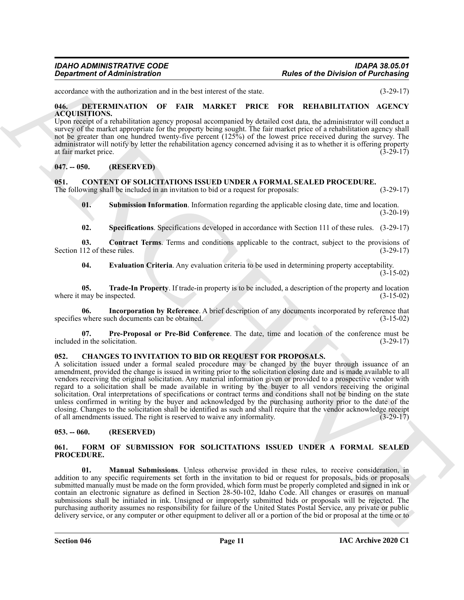accordance with the authorization and in the best interest of the state. (3-29-17)

#### <span id="page-10-15"></span><span id="page-10-0"></span>**046. DETERMINATION OF FAIR MARKET PRICE FOR REHABILITATION AGENCY ACQUISITIONS.**

Upon receipt of a rehabilitation agency proposal accompanied by detailed cost data, the administrator will conduct a survey of the market appropriate for the property being sought. The fair market price of a rehabilitation agency shall not be greater than one hundred twenty-five percent (125%) of the lowest price received during the survey. The administrator will notify by letter the rehabilitation agency concerned advising it as to whether it is offering property at fair market price. (3-29-17)

#### <span id="page-10-1"></span>**047. -- 050. (RESERVED)**

#### <span id="page-10-7"></span><span id="page-10-2"></span>**051. CONTENT OF SOLICITATIONS ISSUED UNDER A FORMAL SEALED PROCEDURE.**

The following shall be included in an invitation to bid or a request for proposals: (3-29-17)

<span id="page-10-13"></span>**01. Submission Information**. Information regarding the applicable closing date, time and location. (3-20-19)

<span id="page-10-12"></span><span id="page-10-8"></span>**02. Specifications**. Specifications developed in accordance with Section 111 of these rules. (3-29-17)

**03.** Contract Terms. Terms and conditions applicable to the contract, subject to the provisions of 112 of these rules. (3-29-17) Section 112 of these rules.

<span id="page-10-14"></span><span id="page-10-10"></span><span id="page-10-9"></span>**04. Evaluation Criteria**. Any evaluation criteria to be used in determining property acceptability.  $(3-15-02)$ 

**05. Trade-In Property**. If trade-in property is to be included, a description of the property and location may be inspected. (3-15-02) where it may be inspected.

**06. Incorporation by Reference**. A brief description of any documents incorporated by reference that specifies where such documents can be obtained. (3-15-02)

<span id="page-10-11"></span>**07. Pre-Proposal or Pre-Bid Conference**. The date, time and location of the conference must be included in the solicitation. (3-29-17)

#### <span id="page-10-6"></span><span id="page-10-3"></span>**052. CHANGES TO INVITATION TO BID OR REQUEST FOR PROPOSALS.**

**Equivalent of Administration**<br> **Equivalent of Administration**<br> **Equivalent of Administration**<br> **Equivalent of Administration**<br> **Equivalent of Administration**<br> **Equivalent of Administration**<br> **Equivalent of Administration** A solicitation issued under a formal sealed procedure may be changed by the buyer through issuance of an amendment, provided the change is issued in writing prior to the solicitation closing date and is made available to all vendors receiving the original solicitation. Any material information given or provided to a prospective vendor with regard to a solicitation shall be made available in writing by the buyer to all vendors receiving the original solicitation. Oral interpretations of specifications or contract terms and conditions shall not be binding on the state unless confirmed in writing by the buyer and acknowledged by the purchasing authority prior to the date of the closing. Changes to the solicitation shall be identified as such and shall require that the vendor acknowledge receipt of all amendments issued. The right is reserved to waive any informality. (3-29-17) of all amendments issued. The right is reserved to waive any informality.

#### <span id="page-10-4"></span>**053. -- 060. (RESERVED)**

#### <span id="page-10-16"></span><span id="page-10-5"></span>**061. FORM OF SUBMISSION FOR SOLICITATIONS ISSUED UNDER A FORMAL SEALED PROCEDURE.**

<span id="page-10-17"></span>**01. Manual Submissions**. Unless otherwise provided in these rules, to receive consideration, in addition to any specific requirements set forth in the invitation to bid or request for proposals, bids or proposals submitted manually must be made on the form provided, which form must be properly completed and signed in ink or contain an electronic signature as defined in Section 28-50-102, Idaho Code. All changes or erasures on manual submissions shall be initialed in ink. Unsigned or improperly submitted bids or proposals will be rejected. The purchasing authority assumes no responsibility for failure of the United States Postal Service, any private or public delivery service, or any computer or other equipment to deliver all or a portion of the bid or proposal at the time or to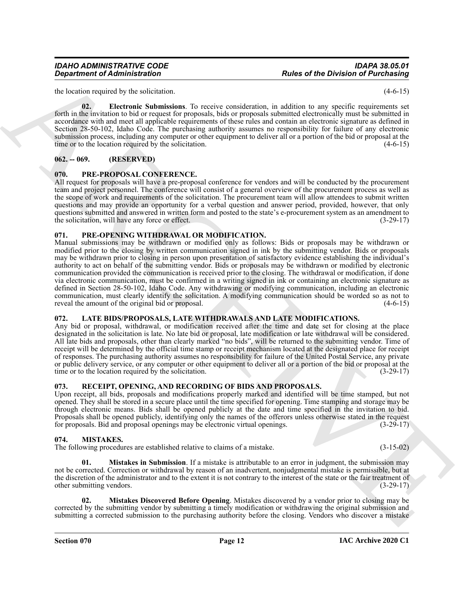#### *IDAHO ADMINISTRATIVE CODE IDAPA 38.05.01* **Rules of the Division of Purchasing**

the location required by the solicitation. (4-6-15)

<span id="page-11-6"></span>**02. Electronic Submissions**. To receive consideration, in addition to any specific requirements set forth in the invitation to bid or request for proposals, bids or proposals submitted electronically must be submitted in accordance with and meet all applicable requirements of these rules and contain an electronic signature as defined in Section 28-50-102, Idaho Code. The purchasing authority assumes no responsibility for failure of any electronic submission process, including any computer or other equipment to deliver all or a portion of the bid or proposal at the time or to the location required by the solicitation. (4-6-15)

### <span id="page-11-0"></span>**062. -- 069. (RESERVED)**

### <span id="page-11-12"></span><span id="page-11-1"></span>**070. PRE-PROPOSAL CONFERENCE.**

All request for proposals will have a pre-proposal conference for vendors and will be conducted by the procurement team and project personnel. The conference will consist of a general overview of the procurement process as well as the scope of work and requirements of the solicitation. The procurement team will allow attendees to submit written questions and may provide an opportunity for a verbal question and answer period, provided, however, that only questions submitted and answered in written form and posted to the state's e-procurement system as an amendment to the solicitation, will have any force or effect. (3-29-17)

### <span id="page-11-11"></span><span id="page-11-2"></span>**071. PRE-OPENING WITHDRAWAL OR MODIFICATION.**

**Equivalent of Administration**<br>
In the stationary and the stationary and the stationary and the stationary and the stationary and the stationary and the stationary and the stationary and the stationary and the stationary Manual submissions may be withdrawn or modified only as follows: Bids or proposals may be withdrawn or modified prior to the closing by written communication signed in ink by the submitting vendor. Bids or proposals may be withdrawn prior to closing in person upon presentation of satisfactory evidence establishing the individual's authority to act on behalf of the submitting vendor. Bids or proposals may be withdrawn or modified by electronic communication provided the communication is received prior to the closing. The withdrawal or modification, if done via electronic communication, must be confirmed in a writing signed in ink or containing an electronic signature as defined in Section 28-50-102, Idaho Code. Any withdrawing or modifying communication, including an electronic communication, must clearly identify the solicitation. A modifying communication should be worded so as not to reveal the amount of the original bid or proposal. (4-6-15)

# <span id="page-11-7"></span><span id="page-11-3"></span>**072. LATE BIDS/PROPOSALS, LATE WITHDRAWALS AND LATE MODIFICATIONS.**

Any bid or proposal, withdrawal, or modification received after the time and date set for closing at the place designated in the solicitation is late. No late bid or proposal, late modification or late withdrawal will be considered. All late bids and proposals, other than clearly marked "no bids", will be returned to the submitting vendor. Time of receipt will be determined by the official time stamp or receipt mechanism located at the designated place for receipt of responses. The purchasing authority assumes no responsibility for failure of the United Postal Service, any private or public delivery service, or any computer or other equipment to deliver all or a portion of the bid or proposal at the time or to the location required by the solicitation. (3-29-17)

#### <span id="page-11-13"></span><span id="page-11-4"></span>**073. RECEIPT, OPENING, AND RECORDING OF BIDS AND PROPOSALS.**

Upon receipt, all bids, proposals and modifications properly marked and identified will be time stamped, but not opened. They shall be stored in a secure place until the time specified for opening. Time stamping and storage may be through electronic means. Bids shall be opened publicly at the date and time specified in the invitation to bid. Proposals shall be opened publicly, identifying only the names of the offerors unless otherwise stated in the request for proposals. Bid and proposal openings may be electronic virtual openings. (3-29-17)

#### <span id="page-11-8"></span><span id="page-11-5"></span>**074. MISTAKES.**

The following procedures are established relative to claims of a mistake. (3-15-02)

<span id="page-11-10"></span>**01. Mistakes in Submission**. If a mistake is attributable to an error in judgment, the submission may not be corrected. Correction or withdrawal by reason of an inadvertent, nonjudgmental mistake is permissible, but at the discretion of the administrator and to the extent it is not contrary to the interest of the state or the fair treatment of other submitting vendors. (3-29-17)

<span id="page-11-9"></span>**02. Mistakes Discovered Before Opening**. Mistakes discovered by a vendor prior to closing may be corrected by the submitting vendor by submitting a timely modification or withdrawing the original submission and submitting a corrected submission to the purchasing authority before the closing. Vendors who discover a mistake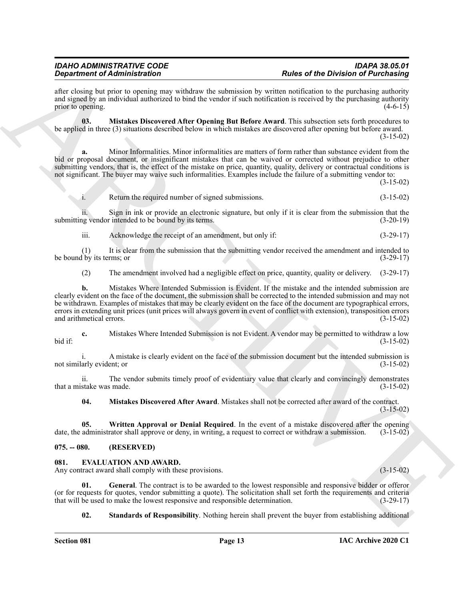after closing but prior to opening may withdraw the submission by written notification to the purchasing authority and signed by an individual authorized to bind the vendor if such notification is received by the purchasing authority prior to opening. (4-6-15)

<span id="page-12-6"></span>**03. Mistakes Discovered After Opening But Before Award**. This subsection sets forth procedures to be applied in three (3) situations described below in which mistakes are discovered after opening but before award. (3-15-02)

**a.** Minor Informalities. Minor informalities are matters of form rather than substance evident from the bid or proposal document, or insignificant mistakes that can be waived or corrected without prejudice to other submitting vendors, that is, the effect of the mistake on price, quantity, quality, delivery or contractual conditions is not significant. The buyer may waive such informalities. Examples include the failure of a submitting vendor to:

(3-15-02)

i. Return the required number of signed submissions. (3-15-02)

ii. Sign in ink or provide an electronic signature, but only if it is clear from the submission that the submitting vendor intended to be bound by its terms. (3-20-19)

iii. Acknowledge the receipt of an amendment, but only if: (3-29-17)

(1) It is clear from the submission that the submitting vendor received the amendment and intended to the p its terms; or  $(3-29-17)$ be bound by its terms; or

(2) The amendment involved had a negligible effect on price, quantity, quality or delivery. (3-29-17)

**Experiment of Administration**<br>
And the state interaction and the state of the state of the Distribution of Parkent<br>
and the state of the state of the state of the state of the state of the state of the state of the state **b.** Mistakes Where Intended Submission is Evident. If the mistake and the intended submission are clearly evident on the face of the document, the submission shall be corrected to the intended submission and may not be withdrawn. Examples of mistakes that may be clearly evident on the face of the document are typographical errors, errors in extending unit prices (unit prices will always govern in event of conflict with extension), transposition errors and arithmetical errors. (3-15-02)

**c.** Mistakes Where Intended Submission is not Evident. A vendor may be permitted to withdraw a low bid if: (3-15-02)

A mistake is clearly evident on the face of the submission document but the intended submission is not similarly evident; or (3-15-02)

ii. The vendor submits timely proof of evidentiary value that clearly and convincingly demonstrates stake was made. (3-15-02) that a mistake was made.

<span id="page-12-7"></span><span id="page-12-5"></span>**04. Mistakes Discovered After Award**. Mistakes shall not be corrected after award of the contract. (3-15-02)

**05.** Written Approval or Denial Required. In the event of a mistake discovered after the opening administrator shall approve or deny, in writing, a request to correct or withdraw a submission. (3-15-02) date, the administrator shall approve or deny, in writing, a request to correct or withdraw a submission.

#### <span id="page-12-0"></span>**075. -- 080. (RESERVED)**

### <span id="page-12-2"></span><span id="page-12-1"></span>**081. EVALUATION AND AWARD.**

Any contract award shall comply with these provisions. (3-15-02)

**01. General**. The contract is to be awarded to the lowest responsible and responsive bidder or offeror (or for requests for quotes, vendor submitting a quote). The solicitation shall set forth the requirements and criteria that will be used to make the lowest responsive and responsible determination. (3-29-17) that will be used to make the lowest responsive and responsible determination.

<span id="page-12-4"></span><span id="page-12-3"></span>**02. Standards of Responsibility**. Nothing herein shall prevent the buyer from establishing additional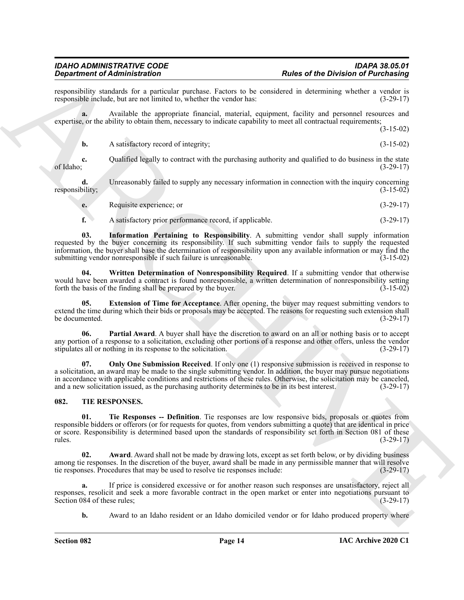responsibility standards for a particular purchase. Factors to be considered in determining whether a vendor is responsible include, but are not limited to, whether the vendor has: (3-29-17) responsible include, but are not limited to, whether the vendor has:

**a.** Available the appropriate financial, material, equipment, facility and personnel resources and expertise, or the ability to obtain them, necessary to indicate capability to meet all contractual requirements; (3-15-02)

|  | A satisfactory record of integrity; | $(3-15-02)$ |
|--|-------------------------------------|-------------|

**c.** Qualified legally to contract with the purchasing authority and qualified to do business in the state (3-29-17) of Idaho;  $(3-29-17)$ 

**d.** Unreasonably failed to supply any necessary information in connection with the inquiry concerning responsibility; (3-15-02)

**e.** Requisite experience; or (3-29-17)

<span id="page-13-5"></span><span id="page-13-2"></span>**f.** A satisfactory prior performance record, if applicable. (3-29-17)

**Experimented Administration** in the state of the Division of Puichkin Christian Christian Christian Christian Christian Christian Christian Christian Christian Christian Christian Christian Christian Christian Christian **03. Information Pertaining to Responsibility**. A submitting vendor shall supply information requested by the buyer concerning its responsibility. If such submitting vendor fails to supply the requested information, the buyer shall base the determination of responsibility upon any available information or may find the submitting vendor nonresponsible if such failure is unreasonable. (3-15-02) submitting vendor nonresponsible if such failure is unreasonable.

**04. Written Determination of Nonresponsibility Required**. If a submitting vendor that otherwise would have been awarded a contract is found nonresponsible, a written determination of nonresponsibility setting forth the basis of the finding shall be prepared by the buyer. (3-15-02)

<span id="page-13-1"></span>**05. Extension of Time for Acceptance**. After opening, the buyer may request submitting vendors to extend the time during which their bids or proposals may be accepted. The reasons for requesting such extension shall<br>(3-29-17) be documented. (3-29-17)

<span id="page-13-4"></span>**06. Partial Award**. A buyer shall have the discretion to award on an all or nothing basis or to accept any portion of a response to a solicitation, excluding other portions of a response and other offers, unless the vendor stipulates all or nothing in its response to the solicitation. (3-29-17) stipulates all or nothing in its response to the solicitation.

<span id="page-13-3"></span>**07.** Only One Submission Received. If only one (1) responsive submission is received in response to a solicitation, an award may be made to the single submitting vendor. In addition, the buyer may pursue negotiations in accordance with applicable conditions and restrictions of these rules. Otherwise, the solicitation may be canceled, and a new solicitation issued, as the purchasing authority determines to be in its best interest. (3-29 and a new solicitation issued, as the purchasing authority determines to be in its best interest.

#### <span id="page-13-6"></span><span id="page-13-0"></span>**082. TIE RESPONSES.**

<span id="page-13-8"></span>**01. Tie Responses -- Definition**. Tie responses are low responsive bids, proposals or quotes from responsible bidders or offerors (or for requests for quotes, from vendors submitting a quote) that are identical in price or score. Responsibility is determined based upon the standards of responsibility set forth in Section 081 of these rules. (3-29-17)

<span id="page-13-7"></span>**02.** Award Award shall not be made by drawing lots, except as set forth below, or by dividing business among tie responses. In the discretion of the buyer, award shall be made in any permissible manner that will resolve tie responses. Procedures that may be used to resolve tie responses include: (3-29-17)

**a.** If price is considered excessive or for another reason such responses are unsatisfactory, reject all responses, resolicit and seek a more favorable contract in the open market or enter into negotiations pursuant to Section 084 of these rules; (3-29-17) Section 084 of these rules;

**b.** Award to an Idaho resident or an Idaho domiciled vendor or for Idaho produced property where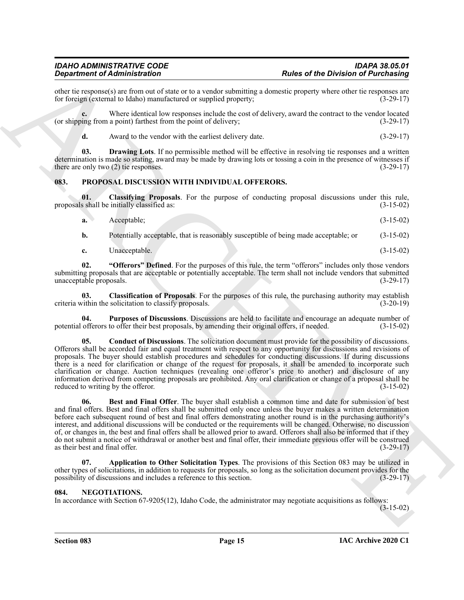other tie response(s) are from out of state or to a vendor submitting a domestic property where other tie responses are for foreign (external to Idaho) manufactured or supplied property; (3-29-17) for foreign (external to Idaho) manufactured or supplied property;

**c.** Where identical low responses include the cost of delivery, award the contract to the vendor located (or shipping from a point) farthest from the point of delivery; (3-29-17)

<span id="page-14-11"></span>**d.** Award to the vendor with the earliest delivery date. (3-29-17)

**03. Drawing Lots**. If no permissible method will be effective in resolving tie responses and a written determination is made so stating, award may be made by drawing lots or tossing a coin in the presence of witnesses if there are only two  $(2)$  tie responses. (3-29-17)

#### <span id="page-14-3"></span><span id="page-14-0"></span>**083. PROPOSAL DISCUSSION WITH INDIVIDUAL OFFERORS.**

**01. Classifying Proposals**. For the purpose of conducting proposal discussions under this rule, proposals shall be initially classified as:

<span id="page-14-7"></span>

| Acceptable:                                                                         | $(3-15-02)$ |
|-------------------------------------------------------------------------------------|-------------|
| Potentially acceptable, that is reasonably susceptible of being made acceptable; or | $(3-15-02)$ |

<span id="page-14-9"></span><span id="page-14-6"></span>**c.** Unacceptable. (3-15-02)

**02. "Offerors" Defined**. For the purposes of this rule, the term "offerors" includes only those vendors submitting proposals that are acceptable or potentially acceptable. The term shall not include vendors that submitted unacceptable proposals. (3-29-17) unacceptable proposals.

**03.** Classification of Proposals. For the purposes of this rule, the purchasing authority may establish vithin the solicitation to classify proposals. (3-20-19) criteria within the solicitation to classify proposals.

<span id="page-14-10"></span><span id="page-14-8"></span>**04. Purposes of Discussions**. Discussions are held to facilitate and encourage an adequate number of potential offerors to offer their best proposals, by amending their original offers, if needed. (3-15-02)

**Experimental Architecture Constraints on the Division of Purchasing<br>
Such that the transformation of the constraints of the Such architecture of the Division of Purchasing<br>
Let**  $\alpha$  **the such as the such as the such as a 05. Conduct of Discussions**. The solicitation document must provide for the possibility of discussions. Offerors shall be accorded fair and equal treatment with respect to any opportunity for discussions and revisions of proposals. The buyer should establish procedures and schedules for conducting discussions. If during discussions there is a need for clarification or change of the request for proposals, it shall be amended to incorporate such clarification or change. Auction techniques (revealing one offeror's price to another) and disclosure of any information derived from competing proposals are prohibited. Any oral clarification or change of a proposal shall be reduced to writing by the offeror.

<span id="page-14-5"></span>**06. Best and Final Offer**. The buyer shall establish a common time and date for submission of best and final offers. Best and final offers shall be submitted only once unless the buyer makes a written determination before each subsequent round of best and final offers demonstrating another round is in the purchasing authority's interest, and additional discussions will be conducted or the requirements will be changed. Otherwise, no discussion of, or changes in, the best and final offers shall be allowed prior to award. Offerors shall also be informed that if they do not submit a notice of withdrawal or another best and final offer, their immediate previous offer will be construed as their best and final offer. (3-29-17)

<span id="page-14-4"></span>**07. Application to Other Solicitation Types**. The provisions of this Section 083 may be utilized in other types of solicitations, in addition to requests for proposals, so long as the solicitation document provides for the possibility of discussions and includes a reference to this section. (3-29-17)

#### <span id="page-14-2"></span><span id="page-14-1"></span>**084. NEGOTIATIONS.**

In accordance with Section 67-9205(12), Idaho Code, the administrator may negotiate acquisitions as follows:

(3-15-02)

**Section 083 Page 15**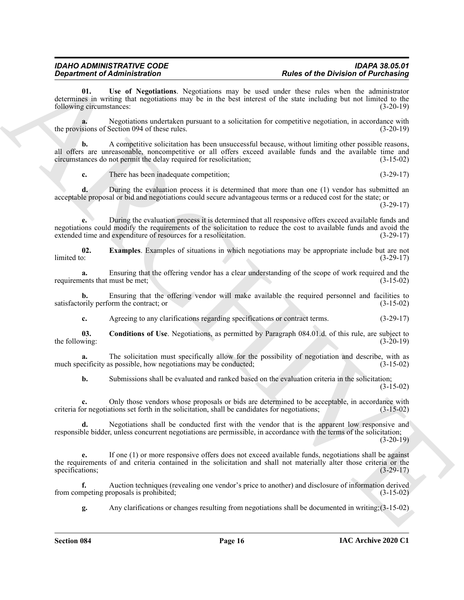<span id="page-15-2"></span>**01. Use of Negotiations**. Negotiations may be used under these rules when the administrator determines in writing that negotiations may be in the best interest of the state including but not limited to the following circumstances: (3-20-19)

**a.** Negotiations undertaken pursuant to a solicitation for competitive negotiation, in accordance with the provisions of Section 094 of these rules. (3-20-19)

**Expansion of Administration** Constraints the value of the Christian Constraints of Park Constraints of Park Constraints of Constraints of Constraints of Constraints of Constraints of Constraints of Constraints of Constra **b.** A competitive solicitation has been unsuccessful because, without limiting other possible reasons, all offers are unreasonable, noncompetitive or all offers exceed available funds and the available time and circumstances do not permit the delay required for resolicitation; (3-15-02)

**c.** There has been inadequate competition; (3-29-17)

**d.** During the evaluation process it is determined that more than one (1) vendor has submitted an acceptable proposal or bid and negotiations could secure advantageous terms or a reduced cost for the state; or

 $(3-29-17)$ 

**e.** During the evaluation process it is determined that all responsive offers exceed available funds and negotiations could modify the requirements of the solicitation to reduce the cost to available funds and avoid the extended time and expenditure of resources for a resolicitation. (3-29-17)

<span id="page-15-1"></span>**02. Examples**. Examples of situations in which negotiations may be appropriate include but are not limited to:  $(3-29-17)$  $\lim \det$  (3-29-17)

**a.** Ensuring that the offering vendor has a clear understanding of the scope of work required and the lents that must be met; (3-15-02) requirements that must be met;

**b.** Ensuring that the offering vendor will make available the required personnel and facilities to satisfactorily perform the contract; or (3-15-02)

<span id="page-15-0"></span>**c.** Agreeing to any clarifications regarding specifications or contract terms. (3-29-17)

**03. Conditions of Use**. Negotiations, as permitted by Paragraph 084.01.d. of this rule, are subject to the following:  $(3-20-19)$ 

**a.** The solicitation must specifically allow for the possibility of negotiation and describe, with as ecificity as possible, how negotiations may be conducted: (3-15-02) much specificity as possible, how negotiations may be conducted;

**b.** Submissions shall be evaluated and ranked based on the evaluation criteria in the solicitation;  $(3-15-02)$ 

**c.** Only those vendors whose proposals or bids are determined to be acceptable, in accordance with criteria for negotiations set forth in the solicitation, shall be candidates for negotiations; (3-15-02)

**d.** Negotiations shall be conducted first with the vendor that is the apparent low responsive and responsible bidder, unless concurrent negotiations are permissible, in accordance with the terms of the solicitation; (3-20-19)

**e.** If one (1) or more responsive offers does not exceed available funds, negotiations shall be against the requirements of and criteria contained in the solicitation and shall not materially alter those criteria or the specifications; (3-29-17)

**f.** Auction techniques (revealing one vendor's price to another) and disclosure of information derived from competing proposals is prohibited; (3-15-02)

**g.** Any clarifications or changes resulting from negotiations shall be documented in writing;(3-15-02)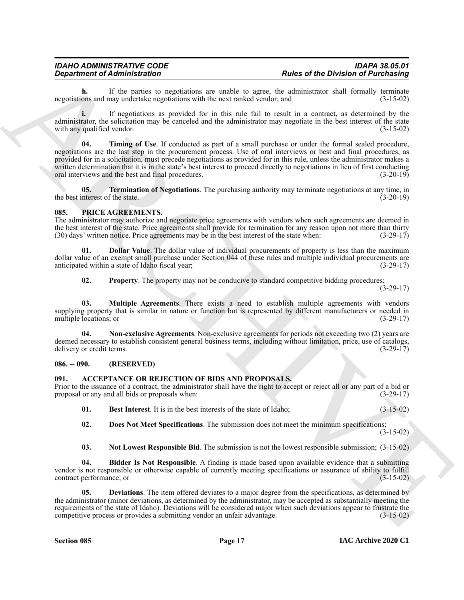# *IDAHO ADMINISTRATIVE CODE IDAPA 38.05.01*

**h.** If the parties to negotiations are unable to agree, the administrator shall formally terminate ons and may undertake negotiations with the next ranked vendor; and (3-15-02) negotiations and may undertake negotiations with the next ranked vendor; and

<span id="page-16-10"></span>**i.** If negotiations as provided for in this rule fail to result in a contract, as determined by the administrator, the solicitation may be canceled and the administrator may negotiate in the best interest of the state with any qualified vendor. (3-15-02)

**Expansion of Administration**<br> **ARCHIVE STATE AND A CONSTRUCT CONSTRUCT CONSTRUCT CONSTRUCT CONSTRUCT CONSTRUCT CONSTRUCT CONSTRUCT CONSTRUCT CONSTRUCT CONSTRUCT CONSTRUCT CONSTRUCT CONSTRUCT CONSTRUCT CONSTRUCT CONSTRUCT 04. Timing of Use**. If conducted as part of a small purchase or under the formal sealed procedure, negotiations are the last step in the procurement process. Use of oral interviews or best and final procedures, as provided for in a solicitation, must precede negotiations as provided for in this rule, unless the administrator makes a written determination that it is in the state's best interest to proceed directly to negotiations in lieu of first conducting oral interviews and the best and final procedures. (3-20-19)

<span id="page-16-9"></span>**05. Termination of Negotiations**. The purchasing authority may terminate negotiations at any time, in the best interest of the state.  $(3-20-19)$ 

#### <span id="page-16-11"></span><span id="page-16-0"></span>**085. PRICE AGREEMENTS.**

The administrator may authorize and negotiate price agreements with vendors when such agreements are deemed in the best interest of the state. Price agreements shall provide for termination for any reason upon not more than thirty (30) days' written notice. Price agreements may be in the best interest of the state when:  $(3-29-17)$ 

**01. Dollar Value**. The dollar value of individual procurements of property is less than the maximum dollar value of an exempt small purchase under Section 044 of these rules and multiple individual procurements are anticipated within a state of Idaho fiscal year; (3-29-17)

<span id="page-16-15"></span><span id="page-16-14"></span><span id="page-16-13"></span><span id="page-16-12"></span>**02.** Property. The property may not be conducive to standard competitive bidding procedures;

(3-29-17)

**03. Multiple Agreements**. There exists a need to establish multiple agreements with vendors supplying property that is similar in nature or function but is represented by different manufacturers or needed in multiple locations; or (3-29-17) multiple locations; or

**04. Non-exclusive Agreements**. Non-exclusive agreements for periods not exceeding two (2) years are deemed necessary to establish consistent general business terms, including without limitation, price, use of catalogs, delivery or credit terms. (3-29-17) delivery or credit terms.

#### <span id="page-16-1"></span>**086. -- 090. (RESERVED)**

#### <span id="page-16-3"></span><span id="page-16-2"></span>**091. ACCEPTANCE OR REJECTION OF BIDS AND PROPOSALS.**

Prior to the issuance of a contract, the administrator shall have the right to accept or reject all or any part of a bid or proposal or any and all bids or proposals when: (3-29-17)

<span id="page-16-4"></span>**01.** Best Interest. It is in the best interests of the state of Idaho; (3-15-02)

<span id="page-16-7"></span>**02. Does Not Meet Specifications**. The submission does not meet the minimum specifications; (3-15-02)

<span id="page-16-8"></span><span id="page-16-6"></span><span id="page-16-5"></span>**03. Not Lowest Responsible Bid**. The submission is not the lowest responsible submission; (3-15-02)

**04. Bidder Is Not Responsible**. A finding is made based upon available evidence that a submitting vendor is not responsible or otherwise capable of currently meeting specifications or assurance of ability to fulfill contract performance; or (3-15-02)

**05. Deviations**. The item offered deviates to a major degree from the specifications, as determined by the administrator (minor deviations, as determined by the administrator, may be accepted as substantially meeting the requirements of the state of Idaho). Deviations will be considered major when such deviations appear to frustrate the competitive process or provides a submitting vendor an unfair advantage. (3-15-02)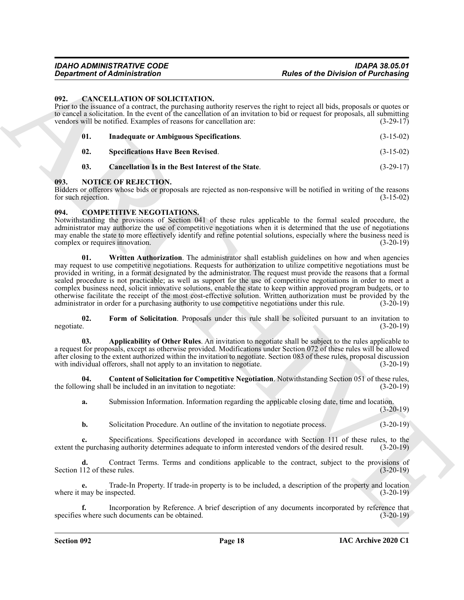#### <span id="page-17-3"></span><span id="page-17-0"></span>**092. CANCELLATION OF SOLICITATION.**

Prior to the issuance of a contract, the purchasing authority reserves the right to reject all bids, proposals or quotes or to cancel a solicitation. In the event of the cancellation of an invitation to bid or request for proposals, all submitting vendors will be notified. Examples of reasons for cancellation are:  $(3-29-17)$ 

<span id="page-17-6"></span><span id="page-17-5"></span><span id="page-17-4"></span>

| 01. | Inadequate or Ambiguous Specifications.            | $(3-15-02)$ |
|-----|----------------------------------------------------|-------------|
| 02. | <b>Specifications Have Been Revised.</b>           | $(3-15-02)$ |
| 03. | Cancellation Is in the Best Interest of the State. | $(3-29-17)$ |

#### <span id="page-17-12"></span><span id="page-17-1"></span>**093. NOTICE OF REJECTION.**

Bidders or offerors whose bids or proposals are rejected as non-responsive will be notified in writing of the reasons for such rejection. (3-15-02)

#### <span id="page-17-7"></span><span id="page-17-2"></span>**094. COMPETITIVE NEGOTIATIONS.**

<span id="page-17-11"></span>Notwithstanding the provisions of Section 041 of these rules applicable to the formal sealed procedure, the administrator may authorize the use of competitive negotiations when it is determined that the use of negotiations may enable the state to more effectively identify and refine potential solutions, especially where the business need is complex or requires innovation. (3-20-19)

**Experiment of Administration**<br> **Experiment of Administration**<br> **EXPECTIVITY CONTRATION**<br> **EXPECTIVITY CONTRATION**<br> **EXPECTIVITY CONTRATION**<br> **EXPECTIVITY CONTRATION**<br> **EXPECTIVITY CONTRATION**<br> **EXPECTIVITY CONTRATION**<br> **01.** Written Authorization. The administrator shall establish guidelines on how and when agencies may request to use competitive negotiations. Requests for authorization to utilize competitive negotiations must be provided in writing, in a format designated by the administrator. The request must provide the reasons that a formal sealed procedure is not practicable; as well as support for the use of competitive negotiations in order to meet a complex business need, solicit innovative solutions, enable the state to keep within approved program budgets, or to otherwise facilitate the receipt of the most cost-effective solution. Written authorization must be provided by the administrator in order for a purchasing authority to use competitive negotiations under this rule.

<span id="page-17-10"></span>**02.** Form of Solicitation. Proposals under this rule shall be solicited pursuant to an invitation to negotiate. (3-20-19) negotiate. (3-20-19)

<span id="page-17-8"></span>**03. Applicability of Other Rules**. An invitation to negotiate shall be subject to the rules applicable to a request for proposals, except as otherwise provided. Modifications under Section 072 of these rules will be allowed after closing to the extent authorized within the invitation to negotiate. Section 083 of these rules, proposal discussion with individual offerors, shall not apply to an invitation to negotiate. (3-20-19)

**04.** Content of Solicitation for Competitive Negotiation. Notwithstanding Section 051 of these rules, wing shall be included in an invitation to negotiate: (3-20-19) the following shall be included in an invitation to negotiate:

<span id="page-17-9"></span>**a.** Submission Information. Information regarding the applicable closing date, time and location.  $(3-20-19)$ 

**b.** Solicitation Procedure. An outline of the invitation to negotiate process. (3-20-19)

**c.** Specifications. Specifications developed in accordance with Section 111 of these rules, to the extent the purchasing authority determines adequate to inform interested vendors of the desired result. (3-20-19)

**d.** Contract Terms. Terms and conditions applicable to the contract, subject to the provisions of Section 112 of these rules. (3-20-19)

**e.** Trade-In Property. If trade-in property is to be included, a description of the property and location where it may be inspected. (3-20-19)

**f.** Incorporation by Reference. A brief description of any documents incorporated by reference that specifies where such documents can be obtained. (3-20-19)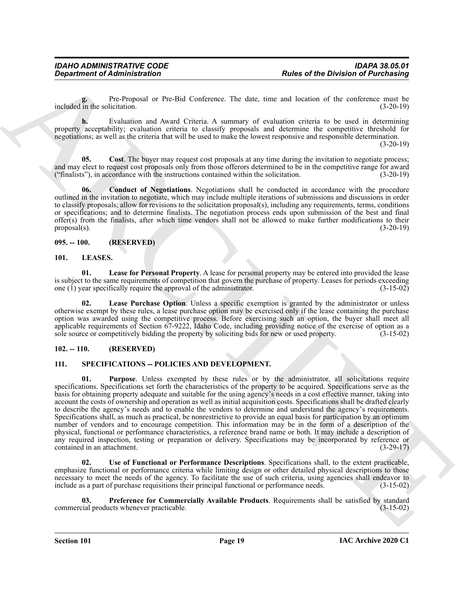**g.** Pre-Proposal or Pre-Bid Conference. The date, time and location of the conference must be included in the solicitation. (3-20-19)

**h.** Evaluation and Award Criteria. A summary of evaluation criteria to be used in determining property acceptability; evaluation criteria to classify proposals and determine the competitive threshold for negotiations; as well as the criteria that will be used to make the lowest responsive and responsible determination.

 $(3-20-19)$ 

<span id="page-18-5"></span>**Cost**. The buyer may request cost proposals at any time during the invitation to negotiate process; and may elect to request cost proposals only from those offerors determined to be in the competitive range for award ("finalists"), in accordance with the instructions contained within the solicitation. (3-20-19)

<span id="page-18-4"></span>**06. Conduct of Negotiations**. Negotiations shall be conducted in accordance with the procedure outlined in the invitation to negotiate, which may include multiple iterations of submissions and discussions in order to classify proposals; allow for revisions to the solicitation proposal(s), including any requirements, terms, conditions or specifications; and to determine finalists. The negotiation process ends upon submission of the best and final offer(s) from the finalists, after which time vendors shall not be allowed to make further modifications to their proposal(s).  $(3-20-19)$ 

#### <span id="page-18-0"></span>**095. -- 100. (RESERVED)**

#### <span id="page-18-7"></span><span id="page-18-6"></span><span id="page-18-1"></span>**101. LEASES.**

**01. Lease for Personal Property**. A lease for personal property may be entered into provided the lease is subject to the same requirements of competition that govern the purchase of property. Leases for periods exceeding one (1) year specifically require the approval of the administrator. (3-15-02)

<span id="page-18-8"></span>Lease Purchase Option. Unless a specific exemption is granted by the administrator or unless otherwise exempt by these rules, a lease purchase option may be exercised only if the lease containing the purchase option was awarded using the competitive process. Before exercising such an option, the buyer shall meet all applicable requirements of Section 67-9222, Idaho Code, including providing notice of the exercise of option as a sole source or competitively bidding the property by soliciting bids for new or used property. (3-15-02)

#### <span id="page-18-2"></span>**102. -- 110. (RESERVED)**

#### <span id="page-18-11"></span><span id="page-18-10"></span><span id="page-18-3"></span>**111. SPECIFICATIONS -- POLICIES AND DEVELOPMENT.**

**Experiment of Administration**<br>
Transformation in the Background of Particular Particular and the distribution of the constraints of the constraints of the constraints of the state of the constraints and the state of the **01. Purpose**. Unless exempted by these rules or by the administrator, all solicitations require specifications. Specifications set forth the characteristics of the property to be acquired. Specifications serve as the basis for obtaining property adequate and suitable for the using agency's needs in a cost effective manner, taking into account the costs of ownership and operation as well as initial acquisition costs. Specifications shall be drafted clearly to describe the agency's needs and to enable the vendors to determine and understand the agency's requirements. Specifications shall, as much as practical, be nonrestrictive to provide an equal basis for participation by an optimum number of vendors and to encourage competition. This information may be in the form of a description of the physical, functional or performance characteristics, a reference brand name or both. It may include a description of any required inspection, testing or preparation or delivery. Specifications may be incorporated by reference or contained in an attachment. (3-29-17)

<span id="page-18-12"></span>**02. Use of Functional or Performance Descriptions**. Specifications shall, to the extent practicable, emphasize functional or performance criteria while limiting design or other detailed physical descriptions to those necessary to meet the needs of the agency. To facilitate the use of such criteria, using agencies shall endeavor to include as a part of purchase requisitions their principal functional or performance needs. (3-15-02)

<span id="page-18-9"></span>**03.** Preference for Commercially Available Products. Requirements shall be satisfied by standard cial products whenever practicable. (3-15-02) commercial products whenever practicable.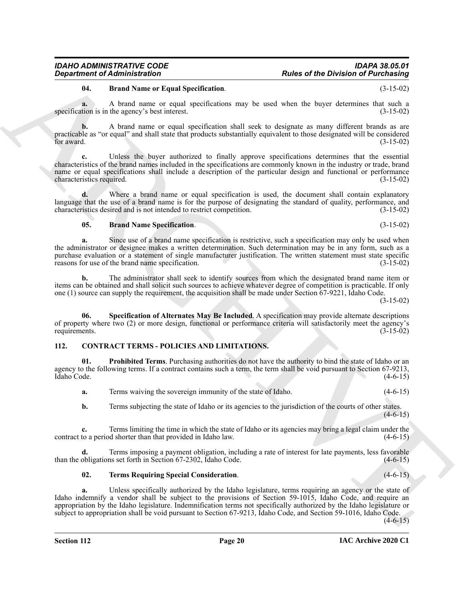# <span id="page-19-4"></span>**04. Brand Name or Equal Specification**. (3-15-02)

**a.** A brand name or equal specifications may be used when the buyer determines that such a tion is in the agency's best interest. (3-15-02) specification is in the agency's best interest.

**b.** A brand name or equal specification shall seek to designate as many different brands as are practicable as "or equal" and shall state that products substantially equivalent to those designated will be considered for award.  $(3-15-02)$ 

**c.** Unless the buyer authorized to finally approve specifications determines that the essential characteristics of the brand names included in the specifications are commonly known in the industry or trade, brand name or equal specifications shall include a description of the particular design and functional or performance characteristics required. (3-15-02)

**d.** Where a brand name or equal specification is used, the document shall contain explanatory language that the use of a brand name is for the purpose of designating the standard of quality, performance, and characteristics desired and is not intended to restrict competition. (3-15-02)

# <span id="page-19-5"></span>**05. Brand Name Specification**. (3-15-02)

**Exparimented Advantation Constraints Constraints in the state of the Division of Pacification (Advantation Constraints)<br>
and the state of the state of the state of the state of the state of the state of the state of the a.** Since use of a brand name specification is restrictive, such a specification may only be used when the administrator or designee makes a written determination. Such determination may be in any form, such as a purchase evaluation or a statement of single manufacturer justification. The written statement must state specific reasons for use of the brand name specification. (3-15-02) reasons for use of the brand name specification.

**b.** The administrator shall seek to identify sources from which the designated brand name item or items can be obtained and shall solicit such sources to achieve whatever degree of competition is practicable. If only one (1) source can supply the requirement, the acquisition shall be made under Section 67-9221, Idaho Code.

(3-15-02)

<span id="page-19-6"></span>**06. Specification of Alternates May Be Included**. A specification may provide alternate descriptions of property where two (2) or more design, functional or performance criteria will satisfactorily meet the agency's requirements. (3-15-02)

# <span id="page-19-1"></span><span id="page-19-0"></span>**112. CONTRACT TERMS - POLICIES AND LIMITATIONS.**

**01. Prohibited Terms**. Purchasing authorities do not have the authority to bind the state of Idaho or an agency to the following terms. If a contract contains such a term, the term shall be void pursuant to Section 67-9213,<br>Idaho Code. (4-6-15) Idaho Code. (4-6-15)

<span id="page-19-2"></span>**a.** Terms waiving the sovereign immunity of the state of Idaho. (4-6-15)

**b.** Terms subjecting the state of Idaho or its agencies to the jurisdiction of the courts of other states.  $(4-6-15)$ 

**c.** Terms limiting the time in which the state of Idaho or its agencies may bring a legal claim under the contract to a period shorter than that provided in Idaho law. (4-6-15)

**d.** Terms imposing a payment obligation, including a rate of interest for late payments, less favorable than the obligations set forth in Section 67-2302, Idaho Code. (4-6-15)

# <span id="page-19-3"></span>**02. Terms Requiring Special Consideration**. (4-6-15)

**a.** Unless specifically authorized by the Idaho legislature, terms requiring an agency or the state of Idaho indemnify a vendor shall be subject to the provisions of Section 59-1015, Idaho Code, and require an appropriation by the Idaho legislature. Indemnification terms not specifically authorized by the Idaho legislature or subject to appropriation shall be void pursuant to Section 67-9213, Idaho Code, and Section 59-1016, Idaho Code.

 $(4-6-15)$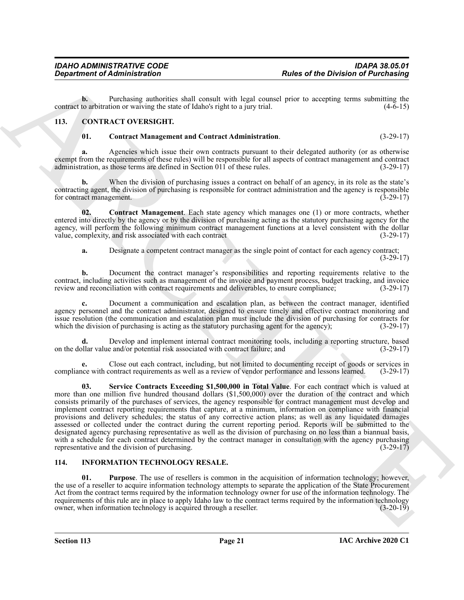**b.** Purchasing authorities shall consult with legal counsel prior to accepting terms submitting the contract to arbitration or waiving the state of Idaho's right to a jury trial. (4-6-15)

### <span id="page-20-0"></span>**113. CONTRACT OVERSIGHT.**

<span id="page-20-4"></span><span id="page-20-2"></span>**01. Contract Management and Contract Administration**. (3-29-17)

**a.** Agencies which issue their own contracts pursuant to their delegated authority (or as otherwise exempt from the requirements of these rules) will be responsible for all aspects of contract management and contract administration, as those terms are defined in Section 011 of these rules. (3-29-17)

**b.** When the division of purchasing issues a contract on behalf of an agency, in its role as the state's contracting agent, the division of purchasing is responsible for contract administration and the agency is responsible for contract management. (3-29-17)

**02.** Contract Management. Each state agency which manages one (1) or more contracts, whether entered into directly by the agency or by the division of purchasing acting as the statutory purchasing agency for the agency, will perform the following minimum contract management functions at a level consistent with the dollar value, complexity, and risk associated with each contract (3-29-17)

<span id="page-20-3"></span>**a.** Designate a competent contract manager as the single point of contact for each agency contract; (3-29-17)

**b.** Document the contract manager's responsibilities and reporting requirements relative to the contract, including activities such as management of the invoice and payment process, budget tracking, and invoice review and reconciliation with contract requirements and deliverables, to ensure compliance; (3-29-17)

**c.** Document a communication and escalation plan, as between the contract manager, identified agency personnel and the contract administrator, designed to ensure timely and effective contract monitoring and issue resolution (the communication and escalation plan must include the division of purchasing for contracts for which the division of purchasing is acting as the statutory purchasing agent for the agency); (3-29-17)

**d.** Develop and implement internal contract monitoring tools, including a reporting structure, based bllar value and/or potential risk associated with contract failure; and (3-29-17) on the dollar value and/or potential risk associated with contract failure; and

<span id="page-20-5"></span>**e.** Close out each contract, including, but not limited to documenting receipt of goods or services in compliance with contract requirements as well as a review of vendor performance and lessons learned. (3-29-17)

**Experiment of Administration**<br> **Experiment of Administration**<br>
Constant on the value of the content of the figure of the Division of Pair Chinach<br>
Constant on the value of the state of the state of the state of the state **03. Service Contracts Exceeding \$1,500,000 in Total Value**. For each contract which is valued at more than one million five hundred thousand dollars (\$1,500,000) over the duration of the contract and which consists primarily of the purchases of services, the agency responsible for contract management must develop and implement contract reporting requirements that capture, at a minimum, information on compliance with financial provisions and delivery schedules; the status of any corrective action plans; as well as any liquidated damages assessed or collected under the contract during the current reporting period. Reports will be submitted to the designated agency purchasing representative as well as the division of purchasing on no less than a biannual basis, with a schedule for each contract determined by the contract manager in consultation with the agency purchasing representative and the division of purchasing. (3-29-17)

#### <span id="page-20-7"></span><span id="page-20-6"></span><span id="page-20-1"></span>**114. INFORMATION TECHNOLOGY RESALE.**

**01. Purpose**. The use of resellers is common in the acquisition of information technology; however, the use of a reseller to acquire information technology attempts to separate the application of the State Procurement Act from the contract terms required by the information technology owner for use of the information technology. The requirements of this rule are in place to apply Idaho law to the contract terms required by the information technology owner, when information technology is acquired through a reseller. (3-20-19)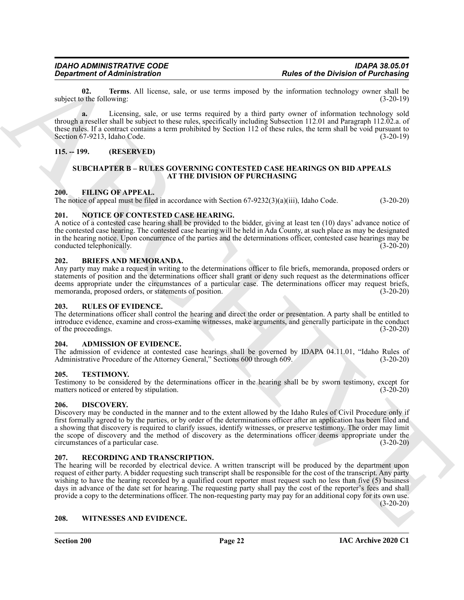<span id="page-21-15"></span>**02. Terms**. All license, sale, or use terms imposed by the information technology owner shall be othe following: (3-20-19) subject to the following:

**a.** Licensing, sale, or use terms required by a third party owner of information technology sold through a reseller shall be subject to these rules, specifically including Subsection 112.01 and Paragraph 112.02.a. of these rules. If a contract contains a term prohibited by Section 112 of these rules, the term shall be void pursuant to Section 67-9213. Idaho Code. (3-20-19) Section 67-9213, Idaho Code.

### <span id="page-21-1"></span><span id="page-21-0"></span>**115. -- 199. (RESERVED)**

#### <span id="page-21-18"></span><span id="page-21-14"></span>**SUBCHAPTER B – RULES GOVERNING CONTESTED CASE HEARINGS ON BID APPEALS AT THE DIVISION OF PURCHASING**

#### <span id="page-21-2"></span>**200. FILING OF APPEAL.**

The notice of appeal must be filed in accordance with Section 67-9232(3)(a)(iii), Idaho Code. (3-20-20)

#### <span id="page-21-16"></span><span id="page-21-3"></span>**201. NOTICE OF CONTESTED CASE HEARING.**

A notice of a contested case hearing shall be provided to the bidder, giving at least ten (10) days' advance notice of the contested case hearing. The contested case hearing will be held in Ada County, at such place as may be designated in the hearing notice. Upon concurrence of the parties and the determinations officer, contested case hearings may be conducted telephonically. (3-20-20)

#### <span id="page-21-12"></span><span id="page-21-4"></span>**202. BRIEFS AND MEMORANDA.**

Any party may make a request in writing to the determinations officer to file briefs, memoranda, proposed orders or statements of position and the determinations officer shall grant or deny such request as the determinations officer deems appropriate under the circumstances of a particular case. The determinations officer may request briefs, memoranda, proposed orders, or statements of position. (3-20-20)

#### <span id="page-21-19"></span><span id="page-21-5"></span>**203. RULES OF EVIDENCE.**

The determinations officer shall control the hearing and direct the order or presentation. A party shall be entitled to introduce evidence, examine and cross-examine witnesses, make arguments, and generally participate in the conduct of the proceedings. (3-20-20)

#### <span id="page-21-11"></span><span id="page-21-6"></span>**204. ADMISSION OF EVIDENCE.**

The admission of evidence at contested case hearings shall be governed by IDAPA 04.11.01, "Idaho Rules of Administrative Procedure of the Attorney General," Sections 600 through 609. (3-20-20)

#### <span id="page-21-20"></span><span id="page-21-7"></span>**205. TESTIMONY.**

Testimony to be considered by the determinations officer in the hearing shall be by sworn testimony, except for matters noticed or entered by stipulation. (3-20-20)

#### <span id="page-21-13"></span><span id="page-21-8"></span>**206. DISCOVERY.**

Discovery may be conducted in the manner and to the extent allowed by the Idaho Rules of Civil Procedure only if first formally agreed to by the parties, or by order of the determinations officer after an application has been filed and a showing that discovery is required to clarify issues, identify witnesses, or preserve testimony. The order may limit the scope of discovery and the method of discovery as the determinations officer deems appropriate under the circumstances of a particular case. (3-20-20)

#### <span id="page-21-17"></span><span id="page-21-9"></span>**207. RECORDING AND TRANSCRIPTION.**

**Experiment of Administration**<br> **Experiment of Administration**<br>
antique and the convention of the state and the state and the state of the Division of Pair Chief and the state of the state of the state of the state of the The hearing will be recorded by electrical device. A written transcript will be produced by the department upon request of either party. A bidder requesting such transcript shall be responsible for the cost of the transcript. Any party wishing to have the hearing recorded by a qualified court reporter must request such no less than five (5) business days in advance of the date set for hearing. The requesting party shall pay the cost of the reporter's fees and shall provide a copy to the determinations officer. The non-requesting party may pay for an additional copy for its own use.  $(3-20-20)$ 

<span id="page-21-21"></span><span id="page-21-10"></span>**208. WITNESSES AND EVIDENCE.**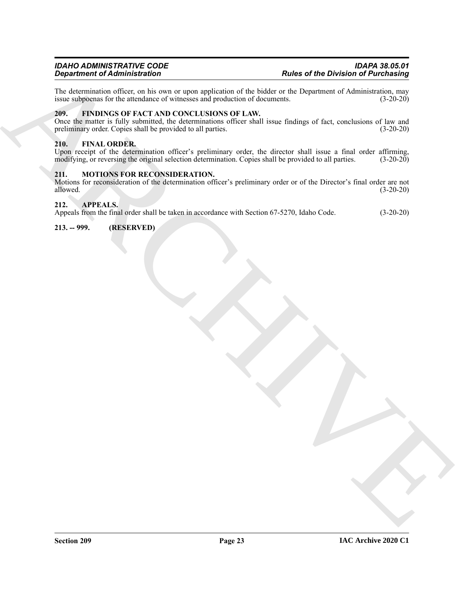The determination officer, on his own or upon application of the bidder or the Department of Administration, may issue subpoenas for the attendance of witnesses and production of documents. (3-20-20) issue subpoenas for the attendance of witnesses and production of documents.

#### <span id="page-22-7"></span><span id="page-22-0"></span>**209. FINDINGS OF FACT AND CONCLUSIONS OF LAW.**

**Singularities of the Division Control of the Control of the Control of the Control of Purchasing<br>
The AARCHIVES OF TACT AND CONCLUSION OF LAW.<br>
2001. IS THEN USE OF TACT AND CONCLUSION OF LAW.<br>
2006. One that is a local** Once the matter is fully submitted, the determinations officer shall issue findings of fact, conclusions of law and preliminary order. Copies shall be provided to all parties. (3-20-20)

#### <span id="page-22-6"></span><span id="page-22-1"></span>**210. FINAL ORDER.**

Upon receipt of the determination officer's preliminary order, the director shall issue a final order affirming, modifying, or reversing the original selection determination. Copies shall be provided to all parties. (3-20-20)

#### <span id="page-22-8"></span><span id="page-22-2"></span>**211. MOTIONS FOR RECONSIDERATION.**

Motions for reconsideration of the determination officer's preliminary order or of the Director's final order are not allowed. (3-20-20)

#### <span id="page-22-5"></span><span id="page-22-3"></span>**212. APPEALS.**

Appeals from the final order shall be taken in accordance with Section 67-5270, Idaho Code. (3-20-20)

<span id="page-22-4"></span>**213. -- 999. (RESERVED)**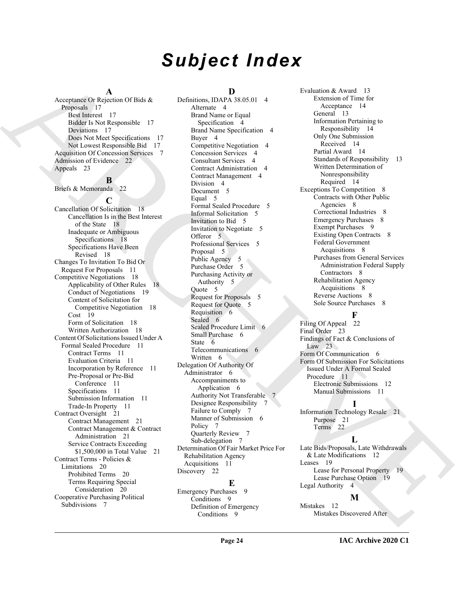# *Subject Index*

#### **A**

Acceptance Or Rejection Of Bids & Proposals 17 Best Interest 17 Bidder Is Not Responsible 17 Deviations 17 Does Not Meet Specifications 17 Not Lowest Responsible Bid 17 Acquisition Of Concession Services 7 Admission of Evidence 22 Appeals 23

# **B**

Briefs & Memoranda 22

**C** Cancellation Of Solicitation 18 Cancellation Is in the Best Interest of the State 18 Inadequate or Ambiguous Specifications 18 Specifications Have Been Revised 18 Changes To Invitation To Bid Or Request For Proposals 11 Competitive Negotiations 18 Applicability of Other Rules 18 Conduct of Negotiations 19 Content of Solicitation for Competitive Negotiation 18 Cost 19 Form of Solicitation 18 Written Authorization 18 Content Of Solicitations Issued Under A Formal Sealed Procedure 11 Contract Terms 11 Evaluation Criteria 11 Incorporation by Reference 11 Pre-Proposal or Pre-Bid Conference 11 Specifications 11 Submission Information 11 Trade-In Property 11 Contract Oversight 21 Contract Management 21 Contract Management & Contract Administration 21 Service Contracts Exceeding \$1,500,000 in Total Value 21 Contract Terms - Policies & Limitations 20 Prohibited Terms 20 Terms Requiring Special Consideration 20 Cooperative Purchasing Political Subdivisions 7

# **D**

[A](#page-16-3)ccording to the state of the state of the state of the state of the state of the state of the state of the state of the state of the state of the state of the state of the state of the state of the state of the state of Definitions, IDAPA 38.05.01 4 Alternate 4 Brand Name or Equal Specification 4 Brand Name Specification 4 Buyer 4 Competitive Negotiation 4 Concession Services 4 Consultant Services 4 Contract Administration 4 Contract Management 4 Division 4 Document 5 Equal 5 Formal Sealed Procedure 5 Informal Solicitation 5 Invitation to Bid 5 Invitation to Negotiate 5 Offeror 5 Professional Services 5 Proposal 5 Public Agency 5 Purchase Order 5 Purchasing Activity or Authority 5 Quote 5 Request for Proposals 5 Request for Quote 5 Requisition 6 Sealed 6 Sealed Procedure Limit 6 Small Purchase 6 State 6 Telecommunications 6 Written 6 Delegation Of Authority Of Administrator 6 Accompaniments to Application 6 Authority Not Transferable 7 Designee Responsibility 7 Failure to Comply 7 Manner of Submission 6 Policy 7 Quarterly Review 7 Sub-delegation 7 Determination Of Fair Market Price For Rehabilitation Agency Acquisitions 11 Discovery 22

# **E**

Emergency Purchases 9 Conditions 9 Definition of Emergency Conditions 9

Evaluation & Award 13 Extension of Time for Acceptance 14 General 13 Information Pertaining to Responsibility 14 Only One Submission Received 14 Partial Award 14 Standards of Responsibility 13 Written Determination of Nonresponsibility Required 14 Exceptions To Competition 8 Contracts with Other Public Agencies 8 Correctional Industries 8 Emergency Purchases 8 Exempt Purchases 9 Existing Open Contracts 8 Federal Government Acquisitions 8 Purchases from General Services Administration Federal Supply Contractors 8 Rehabilitation Agency Acquisitions 8 Reverse Auctions 8 Sole Source Purchases 8

# **F**

Filing Of Appeal 22 Final Order 23 Findings of Fact & Conclusions of Law  $23$ Form Of Communication 6 Form Of Submission For Solicitations Issued Under A Formal Sealed Procedure 11 Electronic Submissions 12 Manual Submissions 11

# **I**

Information Technology Resale 21 Purpose 21

Terms 22

#### **L**

Late Bids/Proposals, Late Withdrawals & Late Modifications 12 Leases 19 Lease for Personal Property 19 Lease Purchase Option 19 Legal Authority 4

#### **M**

Mistakes 12 Mistakes Discovered After